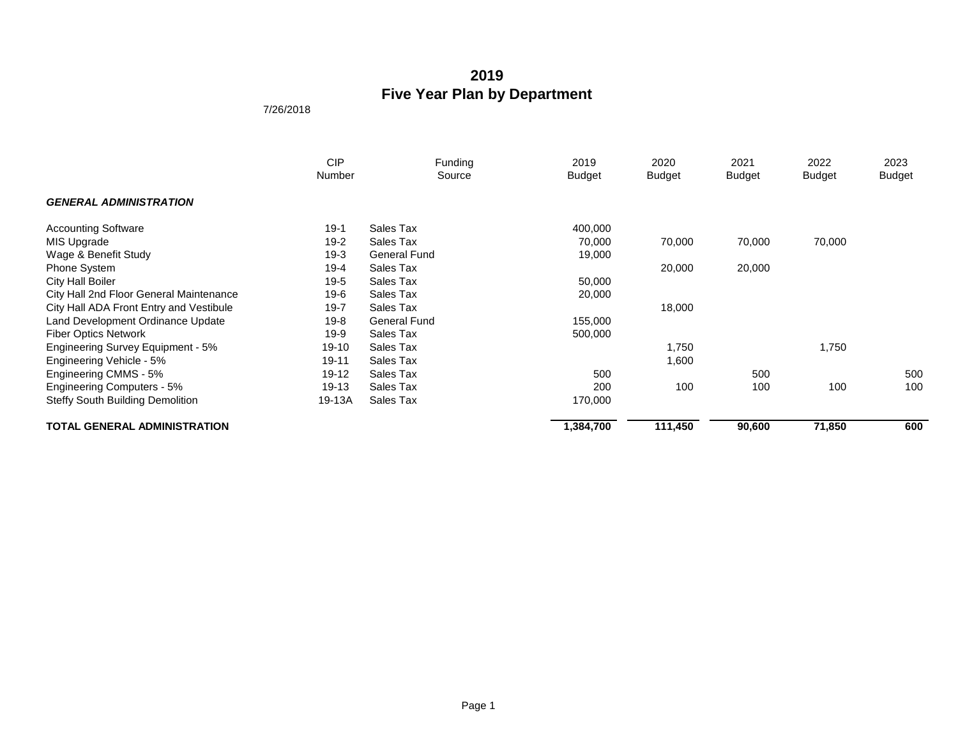|                                         | <b>CIP</b><br>Number | Funding<br>Source   | 2019<br><b>Budget</b> | 2020<br><b>Budget</b> | 2021<br><b>Budget</b> | 2022<br><b>Budget</b> | 2023<br><b>Budget</b> |
|-----------------------------------------|----------------------|---------------------|-----------------------|-----------------------|-----------------------|-----------------------|-----------------------|
| <b>GENERAL ADMINISTRATION</b>           |                      |                     |                       |                       |                       |                       |                       |
| <b>Accounting Software</b>              | $19-1$               | Sales Tax           | 400,000               |                       |                       |                       |                       |
| MIS Upgrade                             | $19-2$               | Sales Tax           | 70,000                | 70,000                | 70,000                | 70,000                |                       |
| Wage & Benefit Study                    | $19-3$               | <b>General Fund</b> | 19,000                |                       |                       |                       |                       |
| <b>Phone System</b>                     | 19-4                 | Sales Tax           |                       | 20,000                | 20,000                |                       |                       |
| <b>City Hall Boiler</b>                 | 19-5                 | Sales Tax           | 50,000                |                       |                       |                       |                       |
| City Hall 2nd Floor General Maintenance | 19-6                 | Sales Tax           | 20,000                |                       |                       |                       |                       |
| City Hall ADA Front Entry and Vestibule | $19 - 7$             | Sales Tax           |                       | 18,000                |                       |                       |                       |
| Land Development Ordinance Update       | 19-8                 | <b>General Fund</b> | 155,000               |                       |                       |                       |                       |
| <b>Fiber Optics Network</b>             | 19-9                 | Sales Tax           | 500,000               |                       |                       |                       |                       |
| Engineering Survey Equipment - 5%       | 19-10                | Sales Tax           |                       | 1,750                 |                       | 1,750                 |                       |
| Engineering Vehicle - 5%                | 19-11                | Sales Tax           |                       | 1,600                 |                       |                       |                       |
| Engineering CMMS - 5%                   | 19-12                | Sales Tax           | 500                   |                       | 500                   |                       | 500                   |
| Engineering Computers - 5%              | 19-13                | Sales Tax           | 200                   | 100                   | 100                   | 100                   | 100                   |
| <b>Steffy South Building Demolition</b> | 19-13A               | Sales Tax           | 170,000               |                       |                       |                       |                       |
| <b>TOTAL GENERAL ADMINISTRATION</b>     |                      |                     | 1,384,700             | 111,450               | 90,600                | 71,850                | 600                   |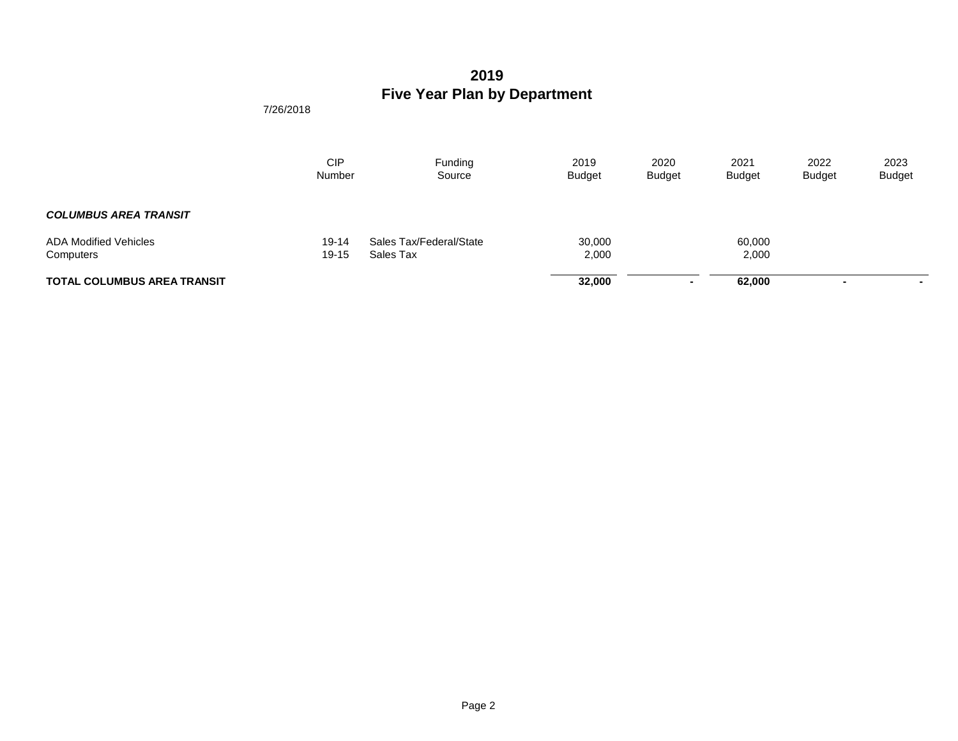|                                           | <b>CIP</b><br>Number | Funding<br>Source                    | 2019<br><b>Budget</b> | 2020<br><b>Budget</b> | 2021<br><b>Budget</b> | 2022<br><b>Budget</b> | 2023<br><b>Budget</b> |
|-------------------------------------------|----------------------|--------------------------------------|-----------------------|-----------------------|-----------------------|-----------------------|-----------------------|
| <b>COLUMBUS AREA TRANSIT</b>              |                      |                                      |                       |                       |                       |                       |                       |
| <b>ADA Modified Vehicles</b><br>Computers | 19-14<br>19-15       | Sales Tax/Federal/State<br>Sales Tax | 30,000<br>2,000       |                       | 60,000<br>2,000       |                       |                       |
| <b>TOTAL COLUMBUS AREA TRANSIT</b>        |                      |                                      | 32,000                |                       | 62.000                |                       | $\sim$                |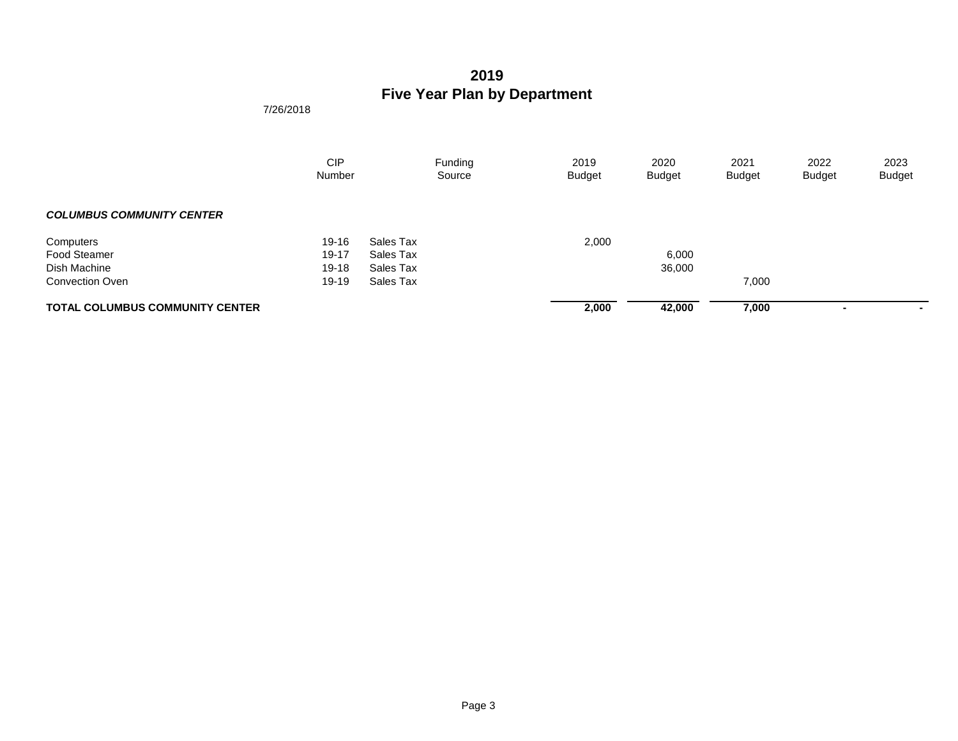|                                        | <b>CIP</b><br>Number |           | Funding<br>Source | 2019<br><b>Budget</b> | 2020<br><b>Budget</b> | 2021<br><b>Budget</b> | 2022<br><b>Budget</b> | 2023<br><b>Budget</b>    |
|----------------------------------------|----------------------|-----------|-------------------|-----------------------|-----------------------|-----------------------|-----------------------|--------------------------|
| <b>COLUMBUS COMMUNITY CENTER</b>       |                      |           |                   |                       |                       |                       |                       |                          |
| Computers                              | 19-16                | Sales Tax |                   | 2,000                 |                       |                       |                       |                          |
| <b>Food Steamer</b>                    | 19-17                | Sales Tax |                   |                       | 6,000                 |                       |                       |                          |
| Dish Machine                           | 19-18                | Sales Tax |                   |                       | 36,000                |                       |                       |                          |
| Convection Oven                        | 19-19                | Sales Tax |                   |                       |                       | 7,000                 |                       |                          |
| <b>TOTAL COLUMBUS COMMUNITY CENTER</b> |                      |           |                   | 2,000                 | 42,000                | 7,000                 |                       | $\overline{\phantom{a}}$ |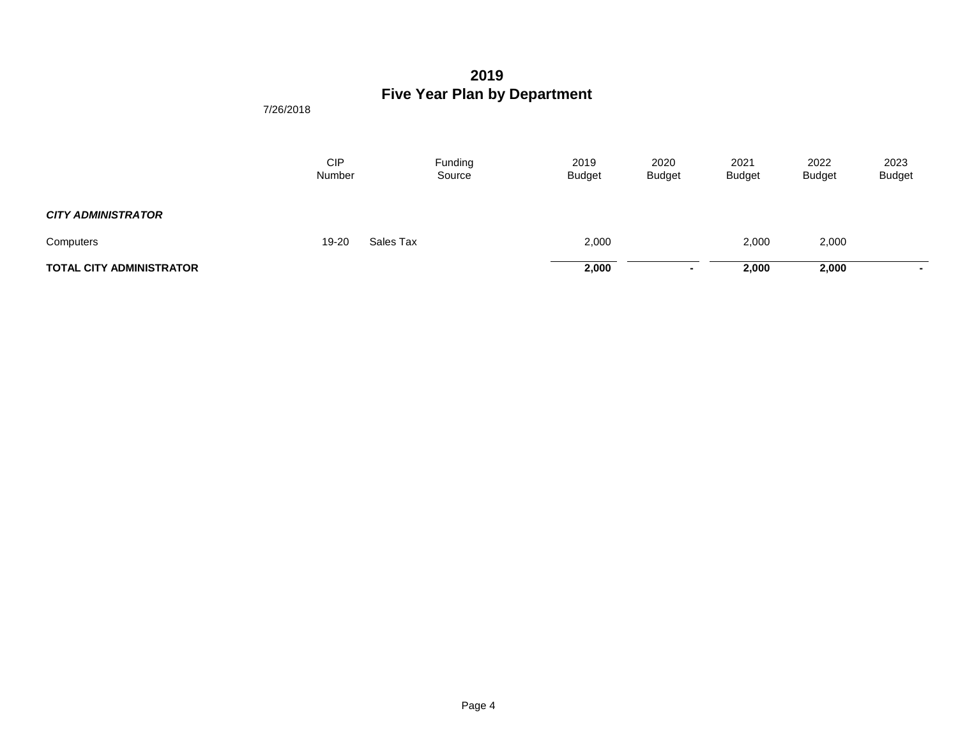|                                 | CIP<br>Number | Funding<br>Source | 2019<br><b>Budget</b> | 2020<br><b>Budget</b> | 2021<br><b>Budget</b> | 2022<br><b>Budget</b> | 2023<br><b>Budget</b> |
|---------------------------------|---------------|-------------------|-----------------------|-----------------------|-----------------------|-----------------------|-----------------------|
| <b>CITY ADMINISTRATOR</b>       |               |                   |                       |                       |                       |                       |                       |
| Computers                       | 19-20         | Sales Tax         | 2,000                 |                       | 2,000                 | 2,000                 |                       |
| <b>TOTAL CITY ADMINISTRATOR</b> |               |                   | 2,000                 | $\sim$                | 2,000                 | 2,000                 |                       |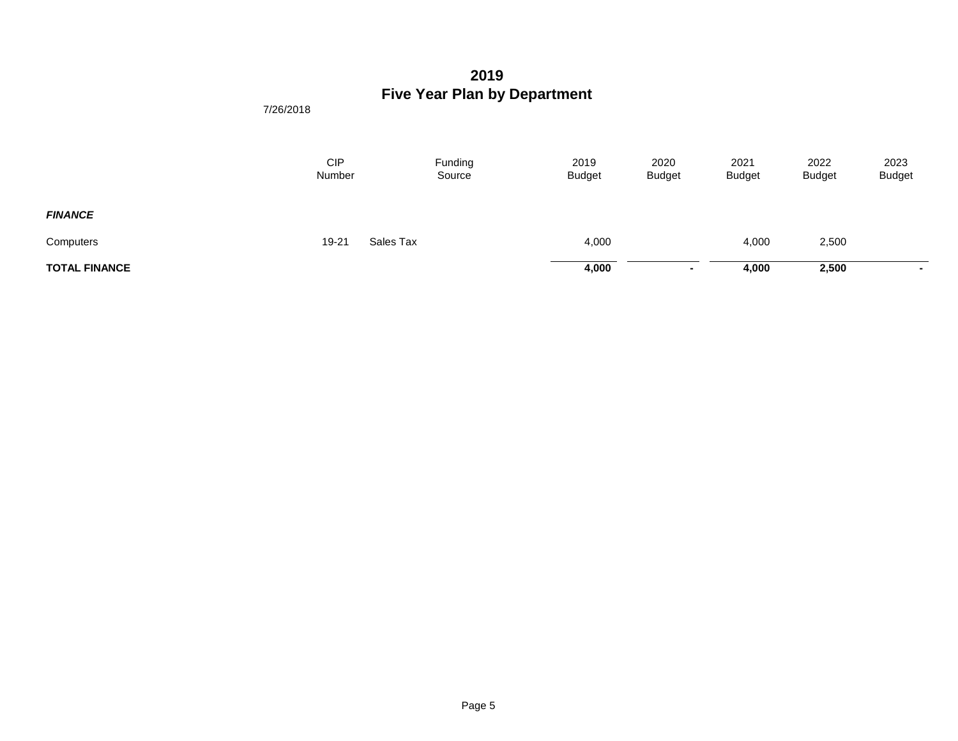|                      | <b>CIP</b><br>Number | Funding<br>Source | 2019<br><b>Budget</b> | 2020<br><b>Budget</b> | 2021<br><b>Budget</b> | 2022<br><b>Budget</b> | 2023<br><b>Budget</b> |
|----------------------|----------------------|-------------------|-----------------------|-----------------------|-----------------------|-----------------------|-----------------------|
| <b>FINANCE</b>       |                      |                   |                       |                       |                       |                       |                       |
| Computers            | 19-21                | Sales Tax         | 4,000                 |                       | 4,000                 | 2,500                 |                       |
| <b>TOTAL FINANCE</b> |                      |                   | 4,000                 | $\sim$                | 4,000                 | 2,500                 | $\blacksquare$        |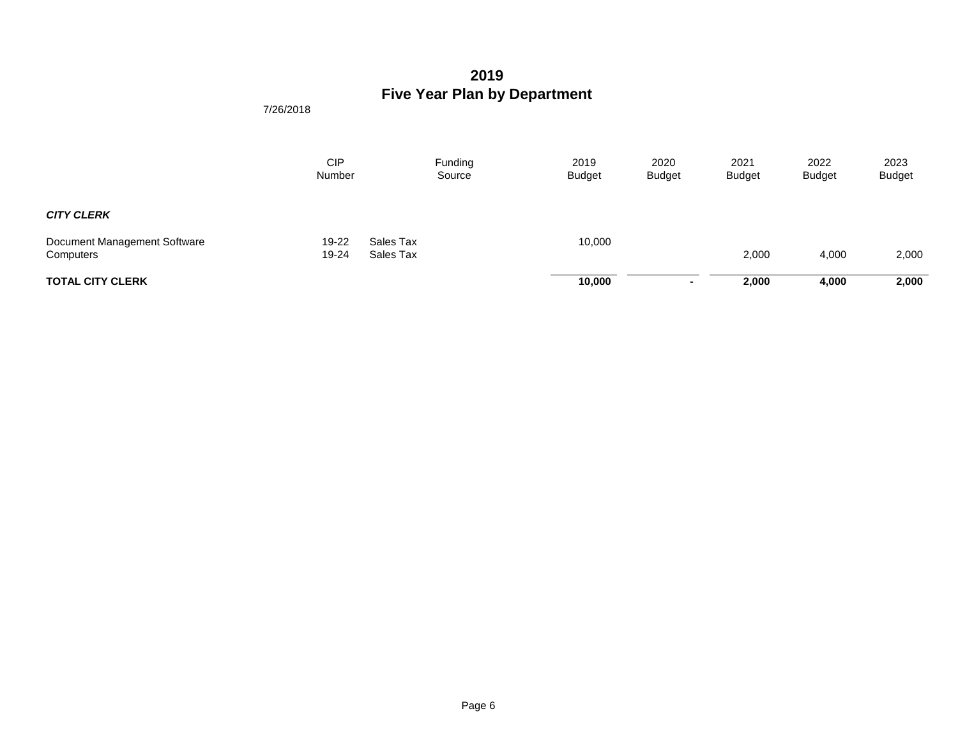|                                           | <b>CIP</b><br>Number | Funding<br>Source      | 2019<br><b>Budget</b> | 2020<br><b>Budget</b> | 2021<br><b>Budget</b> | 2022<br><b>Budget</b> | 2023<br><b>Budget</b> |
|-------------------------------------------|----------------------|------------------------|-----------------------|-----------------------|-----------------------|-----------------------|-----------------------|
| <b>CITY CLERK</b>                         |                      |                        |                       |                       |                       |                       |                       |
| Document Management Software<br>Computers | 19-22<br>19-24       | Sales Tax<br>Sales Tax | 10,000                |                       | 2,000                 | 4,000                 | 2,000                 |
| <b>TOTAL CITY CLERK</b>                   |                      |                        | 10,000                | $\blacksquare$        | 2,000                 | 4,000                 | 2,000                 |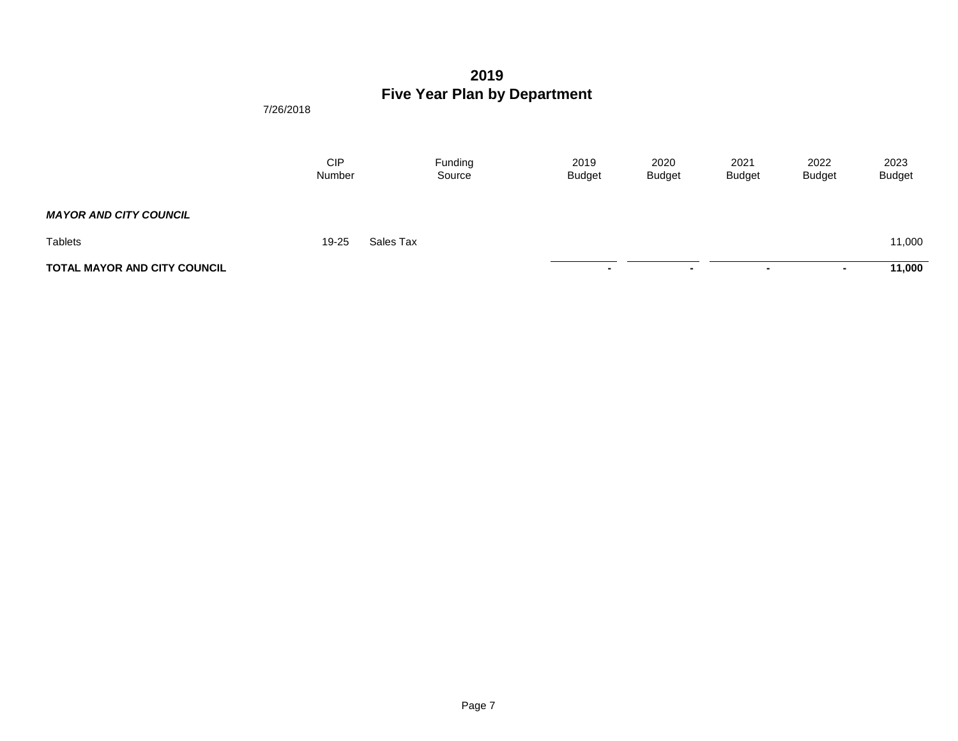|                                     | <b>CIP</b><br>Number |           | Funding<br>Source | 2019<br><b>Budget</b> | 2020<br><b>Budget</b> | 2021<br><b>Budget</b> | 2022<br><b>Budget</b> | 2023<br><b>Budget</b> |
|-------------------------------------|----------------------|-----------|-------------------|-----------------------|-----------------------|-----------------------|-----------------------|-----------------------|
| <b>MAYOR AND CITY COUNCIL</b>       |                      |           |                   |                       |                       |                       |                       |                       |
| <b>Tablets</b>                      | 19-25                | Sales Tax |                   |                       |                       |                       |                       | 11,000                |
| <b>TOTAL MAYOR AND CITY COUNCIL</b> |                      |           |                   |                       | . .                   | $\sim$                | . .                   | 11,000                |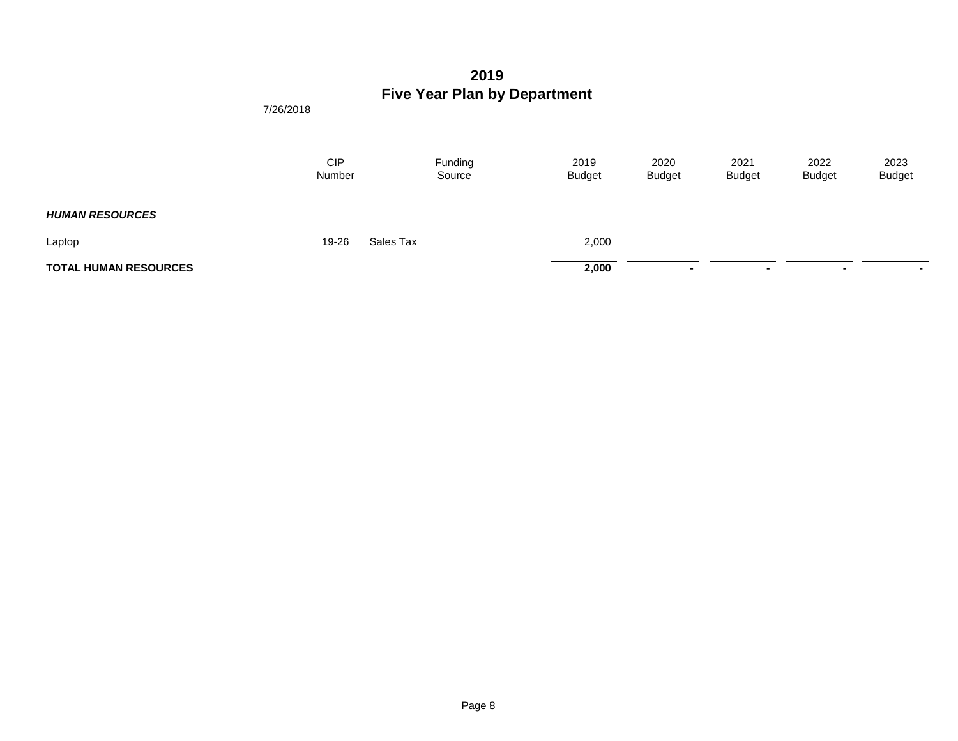|                              | <b>CIP</b><br>Number |           | Funding<br>Source | 2019<br><b>Budget</b> | 2020<br><b>Budget</b> | 2021<br><b>Budget</b> | 2022<br><b>Budget</b> | 2023<br><b>Budget</b> |
|------------------------------|----------------------|-----------|-------------------|-----------------------|-----------------------|-----------------------|-----------------------|-----------------------|
| <b>HUMAN RESOURCES</b>       |                      |           |                   |                       |                       |                       |                       |                       |
| Laptop                       | 19-26                | Sales Tax |                   | 2,000                 |                       |                       |                       |                       |
| <b>TOTAL HUMAN RESOURCES</b> |                      |           |                   | 2,000                 | . .                   | $\sim$                | . .                   | $\sim$                |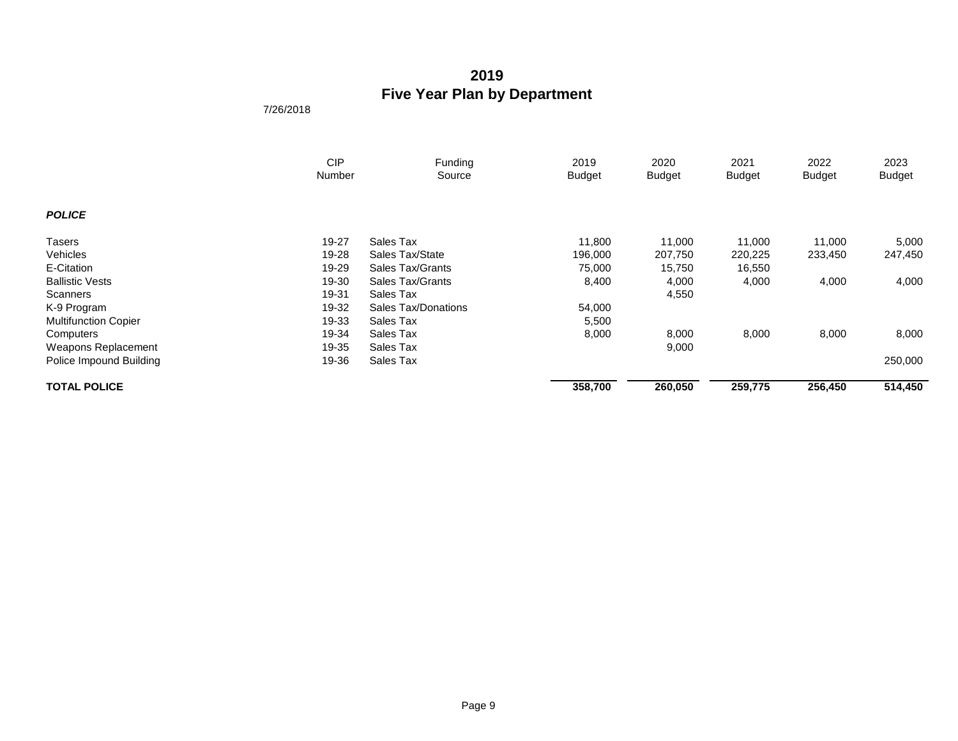|                             | <b>CIP</b> | Funding             | 2019          | 2020    | 2021          | 2022          | 2023          |
|-----------------------------|------------|---------------------|---------------|---------|---------------|---------------|---------------|
|                             | Number     | Source              | <b>Budget</b> | Budget  | <b>Budget</b> | <b>Budget</b> | <b>Budget</b> |
|                             |            |                     |               |         |               |               |               |
| <b>POLICE</b>               |            |                     |               |         |               |               |               |
| Tasers                      | 19-27      | Sales Tax           | 11,800        | 11,000  | 11,000        | 11,000        | 5,000         |
| Vehicles                    | 19-28      | Sales Tax/State     | 196,000       | 207,750 | 220,225       | 233,450       | 247,450       |
| E-Citation                  | 19-29      | Sales Tax/Grants    | 75,000        | 15,750  | 16,550        |               |               |
| <b>Ballistic Vests</b>      | 19-30      | Sales Tax/Grants    | 8,400         | 4,000   | 4,000         | 4,000         | 4,000         |
| Scanners                    | 19-31      | Sales Tax           |               | 4,550   |               |               |               |
| K-9 Program                 | 19-32      | Sales Tax/Donations | 54,000        |         |               |               |               |
| <b>Multifunction Copier</b> | 19-33      | Sales Tax           | 5,500         |         |               |               |               |
| Computers                   | 19-34      | Sales Tax           | 8,000         | 8,000   | 8,000         | 8,000         | 8,000         |
| Weapons Replacement         | 19-35      | Sales Tax           |               | 9,000   |               |               |               |
| Police Impound Building     | 19-36      | Sales Tax           |               |         |               |               | 250,000       |
| <b>TOTAL POLICE</b>         |            |                     | 358,700       | 260,050 | 259,775       | 256,450       | 514,450       |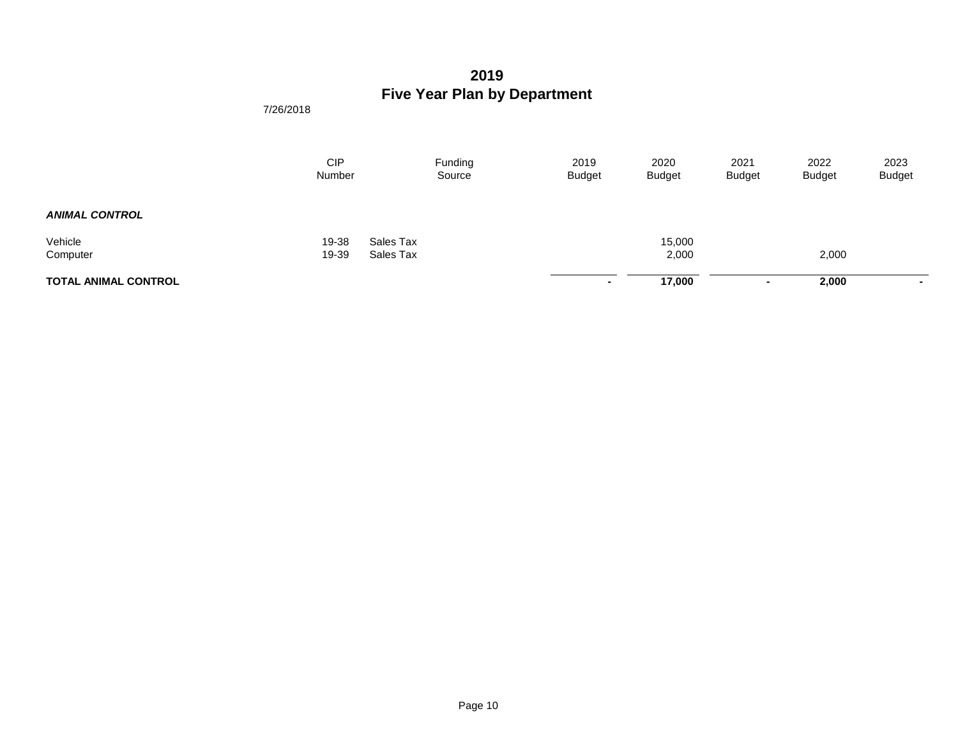|                             | <b>CIP</b><br>Number | Funding<br>Source      | 2019<br><b>Budget</b> | 2020<br><b>Budget</b> | 2021<br><b>Budget</b> | 2022<br><b>Budget</b> | 2023<br><b>Budget</b> |
|-----------------------------|----------------------|------------------------|-----------------------|-----------------------|-----------------------|-----------------------|-----------------------|
| <b>ANIMAL CONTROL</b>       |                      |                        |                       |                       |                       |                       |                       |
| Vehicle<br>Computer         | 19-38<br>19-39       | Sales Tax<br>Sales Tax |                       | 15,000<br>2,000       |                       | 2,000                 |                       |
| <b>TOTAL ANIMAL CONTROL</b> |                      |                        | ۰                     | 17,000                | <b>п.</b>             | 2,000                 | $\sim$                |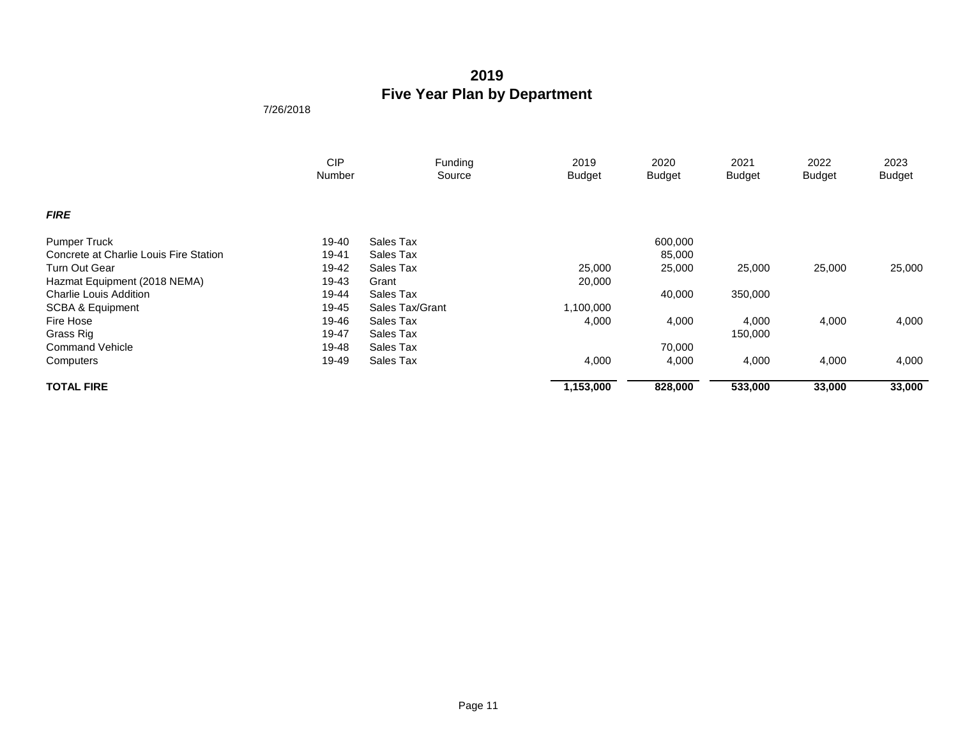|                                        | <b>CIP</b> | Funding         | 2019          | 2020          | 2021          | 2022          | 2023   |
|----------------------------------------|------------|-----------------|---------------|---------------|---------------|---------------|--------|
|                                        | Number     | Source          | <b>Budget</b> | <b>Budget</b> | <b>Budget</b> | <b>Budget</b> | Budget |
| <b>FIRE</b>                            |            |                 |               |               |               |               |        |
| <b>Pumper Truck</b>                    | 19-40      | Sales Tax       |               | 600,000       |               |               |        |
| Concrete at Charlie Louis Fire Station | 19-41      | Sales Tax       |               | 85,000        |               |               |        |
| Turn Out Gear                          | 19-42      | Sales Tax       | 25,000        | 25,000        | 25,000        | 25,000        | 25,000 |
| Hazmat Equipment (2018 NEMA)           | 19-43      | Grant           | 20,000        |               |               |               |        |
| <b>Charlie Louis Addition</b>          | 19-44      | Sales Tax       |               | 40,000        | 350,000       |               |        |
| SCBA & Equipment                       | 19-45      | Sales Tax/Grant | 1,100,000     |               |               |               |        |
| Fire Hose                              | 19-46      | Sales Tax       | 4,000         | 4,000         | 4,000         | 4,000         | 4,000  |
| Grass Rig                              | 19-47      | Sales Tax       |               |               | 150,000       |               |        |
| <b>Command Vehicle</b>                 | 19-48      | Sales Tax       |               | 70,000        |               |               |        |
| Computers                              | 19-49      | Sales Tax       | 4,000         | 4,000         | 4,000         | 4,000         | 4,000  |
| <b>TOTAL FIRE</b>                      |            |                 | 1,153,000     | 828,000       | 533,000       | 33,000        | 33,000 |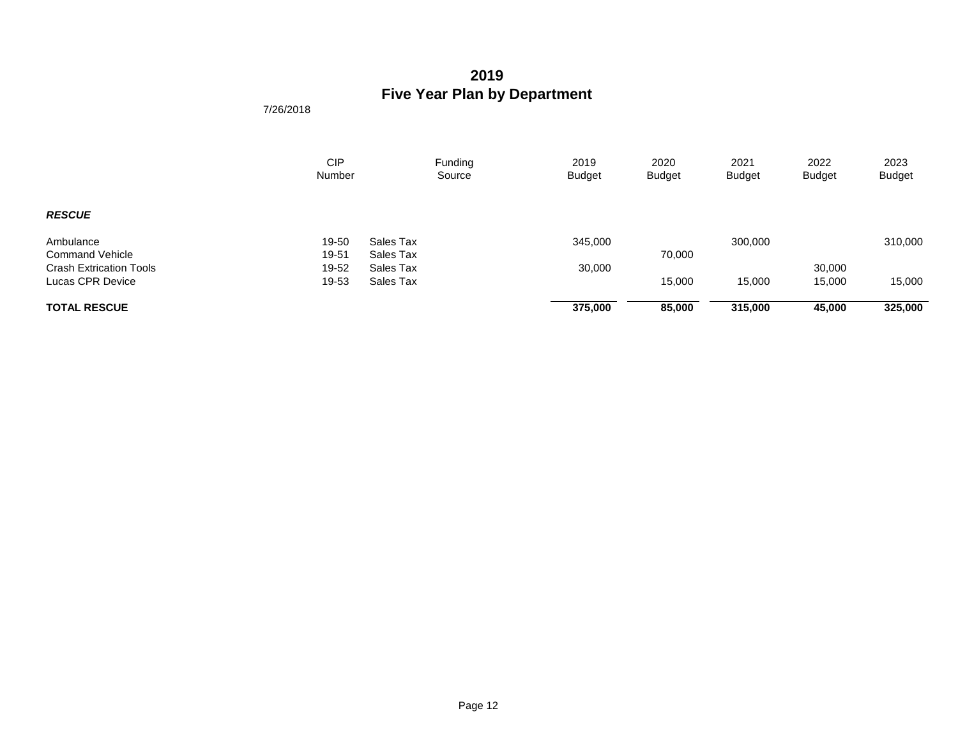|                                | <b>CIP</b><br>Number | Funding<br>Source | 2019<br><b>Budget</b> | 2020<br><b>Budget</b> | 2021<br><b>Budget</b> | 2022<br><b>Budget</b> | 2023<br><b>Budget</b> |
|--------------------------------|----------------------|-------------------|-----------------------|-----------------------|-----------------------|-----------------------|-----------------------|
| <b>RESCUE</b>                  |                      |                   |                       |                       |                       |                       |                       |
| Ambulance                      | 19-50                | Sales Tax         | 345,000               |                       | 300,000               |                       | 310,000               |
| <b>Command Vehicle</b>         | 19-51                | Sales Tax         |                       | 70,000                |                       |                       |                       |
| <b>Crash Extrication Tools</b> | 19-52                | Sales Tax         | 30,000                |                       |                       | 30,000                |                       |
| Lucas CPR Device               | 19-53                | Sales Tax         |                       | 15,000                | 15,000                | 15,000                | 15,000                |
| <b>TOTAL RESCUE</b>            |                      |                   | 375,000               | 85,000                | 315,000               | 45,000                | 325,000               |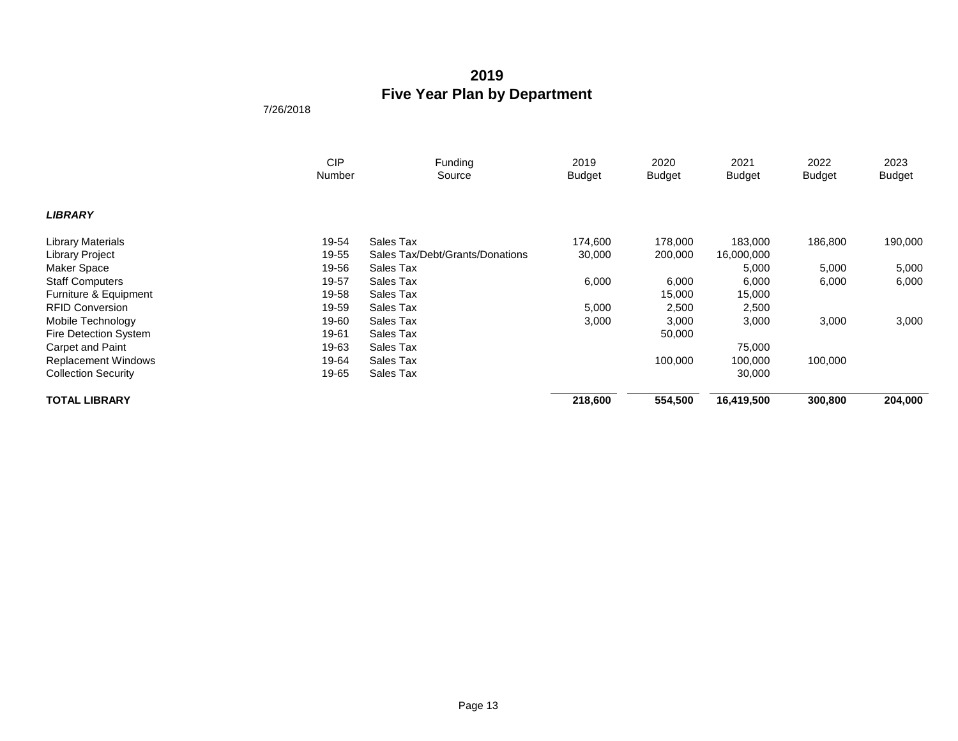|                            | <b>CIP</b><br>Number | Funding                         | 2019          | 2020          | 2021          | 2022          | 2023          |
|----------------------------|----------------------|---------------------------------|---------------|---------------|---------------|---------------|---------------|
|                            |                      | Source                          | <b>Budget</b> | <b>Budget</b> | <b>Budget</b> | <b>Budget</b> | <b>Budget</b> |
| <b>LIBRARY</b>             |                      |                                 |               |               |               |               |               |
| <b>Library Materials</b>   | 19-54                | Sales Tax                       | 174,600       | 178,000       | 183,000       | 186,800       | 190,000       |
| <b>Library Project</b>     | 19-55                | Sales Tax/Debt/Grants/Donations | 30,000        | 200,000       | 16,000,000    |               |               |
| Maker Space                | 19-56                | Sales Tax                       |               |               | 5,000         | 5,000         | 5,000         |
| <b>Staff Computers</b>     | 19-57                | Sales Tax                       | 6,000         | 6,000         | 6,000         | 6,000         | 6,000         |
| Furniture & Equipment      | 19-58                | Sales Tax                       |               | 15,000        | 15,000        |               |               |
| <b>RFID Conversion</b>     | 19-59                | Sales Tax                       | 5,000         | 2,500         | 2,500         |               |               |
| Mobile Technology          | 19-60                | Sales Tax                       | 3,000         | 3,000         | 3,000         | 3,000         | 3,000         |
| Fire Detection System      | 19-61                | Sales Tax                       |               | 50,000        |               |               |               |
| Carpet and Paint           | 19-63                | Sales Tax                       |               |               | 75,000        |               |               |
| <b>Replacement Windows</b> | 19-64                | Sales Tax                       |               | 100,000       | 100,000       | 100,000       |               |
| <b>Collection Security</b> | 19-65                | Sales Tax                       |               |               | 30,000        |               |               |
| <b>TOTAL LIBRARY</b>       |                      |                                 | 218,600       | 554,500       | 16,419,500    | 300,800       | 204,000       |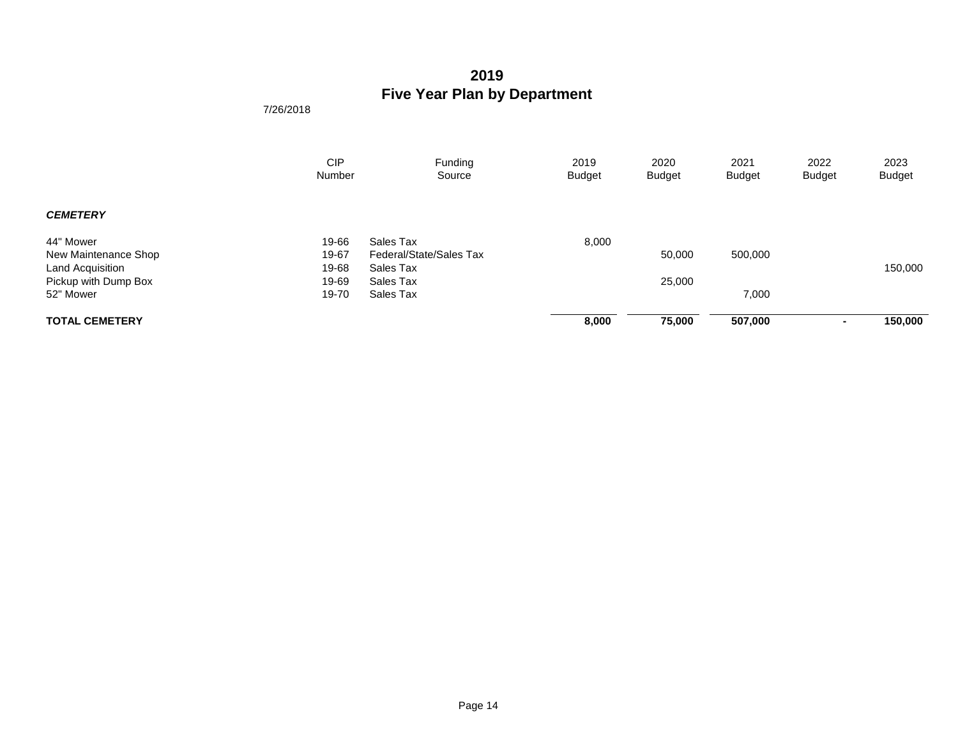|                       | <b>CIP</b><br>Number | Funding<br>Source       | 2019<br><b>Budget</b> | 2020<br><b>Budget</b> | 2021<br><b>Budget</b> | 2022<br><b>Budget</b> | 2023<br><b>Budget</b> |
|-----------------------|----------------------|-------------------------|-----------------------|-----------------------|-----------------------|-----------------------|-----------------------|
| <b>CEMETERY</b>       |                      |                         |                       |                       |                       |                       |                       |
| 44" Mower             | 19-66                | Sales Tax               | 8,000                 |                       |                       |                       |                       |
| New Maintenance Shop  | 19-67                | Federal/State/Sales Tax |                       | 50,000                | 500,000               |                       |                       |
| Land Acquisition      | 19-68                | Sales Tax               |                       |                       |                       |                       | 150,000               |
| Pickup with Dump Box  | 19-69                | Sales Tax               |                       | 25,000                |                       |                       |                       |
| 52" Mower             | 19-70                | Sales Tax               |                       |                       | 7,000                 |                       |                       |
| <b>TOTAL CEMETERY</b> |                      |                         | 8,000                 | 75,000                | 507,000               |                       | 150,000               |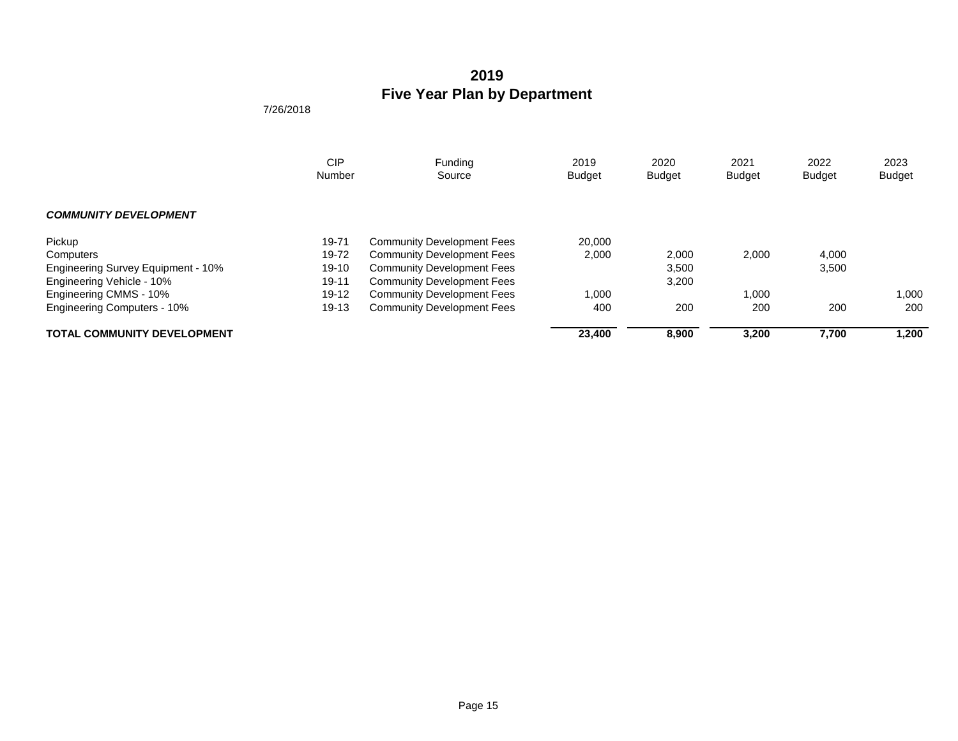|                                    | <b>CIP</b><br>Number | Funding<br>Source                 | 2019<br><b>Budget</b> | 2020<br><b>Budget</b> | 2021<br><b>Budget</b> | 2022<br><b>Budget</b> | 2023<br><b>Budget</b> |
|------------------------------------|----------------------|-----------------------------------|-----------------------|-----------------------|-----------------------|-----------------------|-----------------------|
| <b>COMMUNITY DEVELOPMENT</b>       |                      |                                   |                       |                       |                       |                       |                       |
| Pickup                             | 19-71                | <b>Community Development Fees</b> | 20,000                |                       |                       |                       |                       |
| Computers                          | 19-72                | <b>Community Development Fees</b> | 2,000                 | 2,000                 | 2,000                 | 4,000                 |                       |
| Engineering Survey Equipment - 10% | $19-10$              | <b>Community Development Fees</b> |                       | 3,500                 |                       | 3,500                 |                       |
| Engineering Vehicle - 10%          | $19 - 11$            | <b>Community Development Fees</b> |                       | 3,200                 |                       |                       |                       |
| Engineering CMMS - 10%             | $19 - 12$            | <b>Community Development Fees</b> | 1.000                 |                       | 1,000                 |                       | 1,000                 |
| <b>Engineering Computers - 10%</b> | $19 - 13$            | <b>Community Development Fees</b> | 400                   | 200                   | 200                   | 200                   | 200                   |
| <b>TOTAL COMMUNITY DEVELOPMENT</b> |                      |                                   | 23,400                | 8,900                 | 3,200                 | 7,700                 | 1,200                 |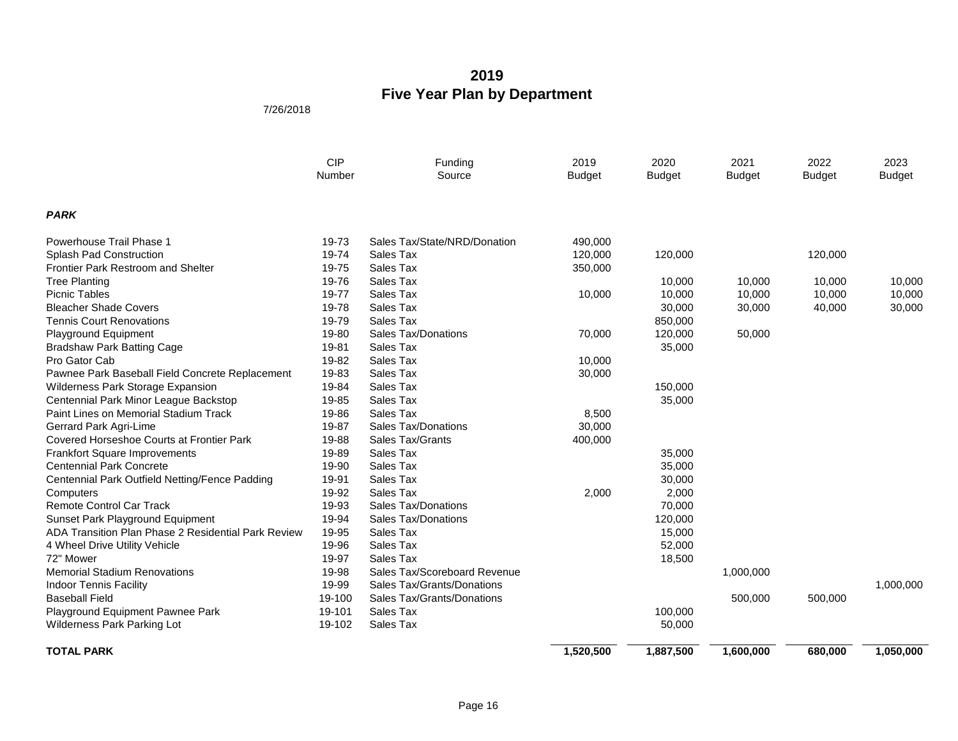|                                                     | <b>CIP</b><br>Number | Funding<br>Source            | 2019<br><b>Budget</b> | 2020<br><b>Budget</b> | 2021<br><b>Budget</b> | 2022<br><b>Budget</b> | 2023<br><b>Budget</b> |
|-----------------------------------------------------|----------------------|------------------------------|-----------------------|-----------------------|-----------------------|-----------------------|-----------------------|
| <b>PARK</b>                                         |                      |                              |                       |                       |                       |                       |                       |
| Powerhouse Trail Phase 1                            | 19-73                | Sales Tax/State/NRD/Donation | 490,000               |                       |                       |                       |                       |
| Splash Pad Construction                             | 19-74                | Sales Tax                    | 120,000               | 120,000               |                       | 120,000               |                       |
| Frontier Park Restroom and Shelter                  | 19-75                | Sales Tax                    | 350,000               |                       |                       |                       |                       |
| <b>Tree Planting</b>                                | 19-76                | Sales Tax                    |                       | 10,000                | 10,000                | 10,000                | 10,000                |
| <b>Picnic Tables</b>                                | 19-77                | Sales Tax                    | 10,000                | 10,000                | 10,000                | 10,000                | 10,000                |
| <b>Bleacher Shade Covers</b>                        | 19-78                | Sales Tax                    |                       | 30,000                | 30,000                | 40,000                | 30,000                |
| <b>Tennis Court Renovations</b>                     | 19-79                | Sales Tax                    |                       | 850,000               |                       |                       |                       |
| Playground Equipment                                | 19-80                | Sales Tax/Donations          | 70,000                | 120,000               | 50,000                |                       |                       |
| <b>Bradshaw Park Batting Cage</b>                   | 19-81                | Sales Tax                    |                       | 35,000                |                       |                       |                       |
| Pro Gator Cab                                       | 19-82                | Sales Tax                    | 10,000                |                       |                       |                       |                       |
| Pawnee Park Baseball Field Concrete Replacement     | 19-83                | Sales Tax                    | 30,000                |                       |                       |                       |                       |
| Wilderness Park Storage Expansion                   | 19-84                | Sales Tax                    |                       | 150,000               |                       |                       |                       |
| Centennial Park Minor League Backstop               | 19-85                | Sales Tax                    |                       | 35,000                |                       |                       |                       |
| Paint Lines on Memorial Stadium Track               | 19-86                | Sales Tax                    | 8,500                 |                       |                       |                       |                       |
| Gerrard Park Agri-Lime                              | 19-87                | <b>Sales Tax/Donations</b>   | 30,000                |                       |                       |                       |                       |
| Covered Horseshoe Courts at Frontier Park           | 19-88                | Sales Tax/Grants             | 400,000               |                       |                       |                       |                       |
| <b>Frankfort Square Improvements</b>                | 19-89                | Sales Tax                    |                       | 35,000                |                       |                       |                       |
| <b>Centennial Park Concrete</b>                     | 19-90                | Sales Tax                    |                       | 35,000                |                       |                       |                       |
| Centennial Park Outfield Netting/Fence Padding      | 19-91                | Sales Tax                    |                       | 30,000                |                       |                       |                       |
| Computers                                           | 19-92                | Sales Tax                    | 2,000                 | 2,000                 |                       |                       |                       |
| <b>Remote Control Car Track</b>                     | 19-93                | Sales Tax/Donations          |                       | 70,000                |                       |                       |                       |
| Sunset Park Playground Equipment                    | 19-94                | Sales Tax/Donations          |                       | 120,000               |                       |                       |                       |
| ADA Transition Plan Phase 2 Residential Park Review | 19-95                | Sales Tax                    |                       | 15,000                |                       |                       |                       |
| 4 Wheel Drive Utility Vehicle                       | 19-96                | Sales Tax                    |                       | 52,000                |                       |                       |                       |
| 72" Mower                                           | 19-97                | Sales Tax                    |                       | 18,500                |                       |                       |                       |
| <b>Memorial Stadium Renovations</b>                 | 19-98                | Sales Tax/Scoreboard Revenue |                       |                       | 1,000,000             |                       |                       |
| <b>Indoor Tennis Facility</b>                       | 19-99                | Sales Tax/Grants/Donations   |                       |                       |                       |                       | 1,000,000             |
| <b>Baseball Field</b>                               | 19-100               | Sales Tax/Grants/Donations   |                       |                       | 500,000               | 500,000               |                       |
| Playground Equipment Pawnee Park                    | 19-101               | Sales Tax                    |                       | 100,000               |                       |                       |                       |
| Wilderness Park Parking Lot                         | 19-102               | Sales Tax                    |                       | 50,000                |                       |                       |                       |
| <b>TOTAL PARK</b>                                   |                      |                              | 1,520,500             | 1,887,500             | 1,600,000             | 680,000               | 1,050,000             |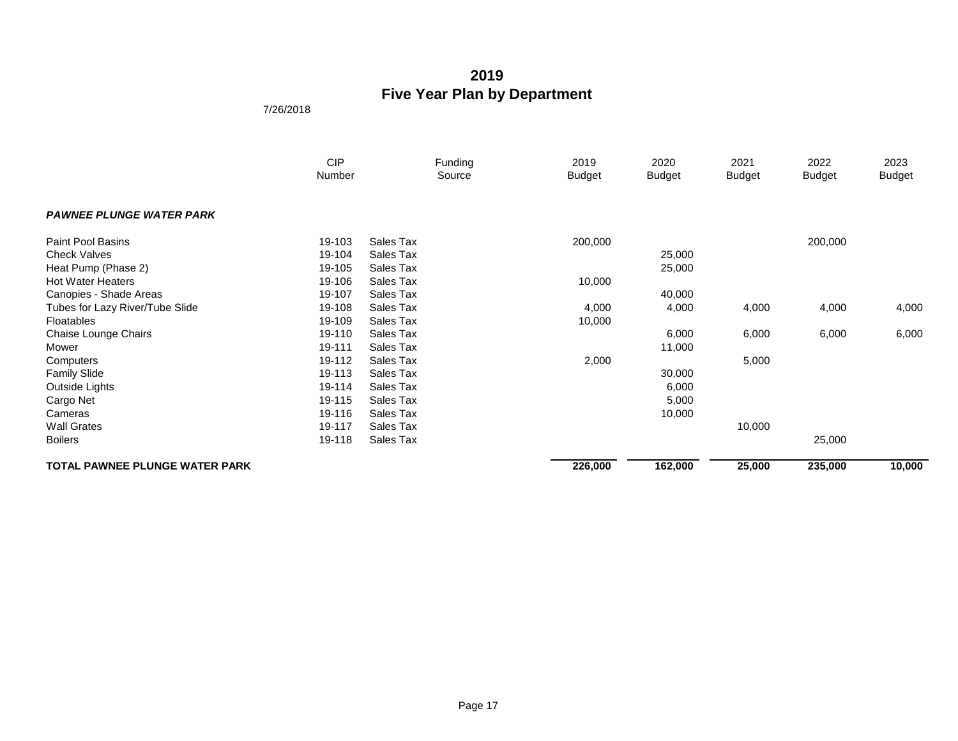|                                       | <b>CIP</b><br>Number |           | Funding<br>Source | 2019<br><b>Budget</b> | 2020<br><b>Budget</b> | 2021<br>Budget | 2022<br><b>Budget</b> | 2023<br><b>Budget</b> |
|---------------------------------------|----------------------|-----------|-------------------|-----------------------|-----------------------|----------------|-----------------------|-----------------------|
|                                       |                      |           |                   |                       |                       |                |                       |                       |
| <b>PAWNEE PLUNGE WATER PARK</b>       |                      |           |                   |                       |                       |                |                       |                       |
| <b>Paint Pool Basins</b>              | 19-103               | Sales Tax |                   | 200,000               |                       |                | 200,000               |                       |
| <b>Check Valves</b>                   | 19-104               | Sales Tax |                   |                       | 25,000                |                |                       |                       |
| Heat Pump (Phase 2)                   | 19-105               | Sales Tax |                   |                       | 25,000                |                |                       |                       |
| <b>Hot Water Heaters</b>              | 19-106               | Sales Tax |                   | 10,000                |                       |                |                       |                       |
| Canopies - Shade Areas                | 19-107               | Sales Tax |                   |                       | 40,000                |                |                       |                       |
| Tubes for Lazy River/Tube Slide       | 19-108               | Sales Tax |                   | 4,000                 | 4,000                 | 4,000          | 4,000                 | 4,000                 |
| Floatables                            | 19-109               | Sales Tax |                   | 10,000                |                       |                |                       |                       |
| Chaise Lounge Chairs                  | 19-110               | Sales Tax |                   |                       | 6,000                 | 6,000          | 6,000                 | 6,000                 |
| Mower                                 | 19-111               | Sales Tax |                   |                       | 11,000                |                |                       |                       |
| Computers                             | 19-112               | Sales Tax |                   | 2,000                 |                       | 5,000          |                       |                       |
| <b>Family Slide</b>                   | 19-113               | Sales Tax |                   |                       | 30,000                |                |                       |                       |
| Outside Lights                        | 19-114               | Sales Tax |                   |                       | 6,000                 |                |                       |                       |
| Cargo Net                             | 19-115               | Sales Tax |                   |                       | 5,000                 |                |                       |                       |
| Cameras                               | 19-116               | Sales Tax |                   |                       | 10,000                |                |                       |                       |
| <b>Wall Grates</b>                    | 19-117               | Sales Tax |                   |                       |                       | 10,000         |                       |                       |
| <b>Boilers</b>                        | 19-118               | Sales Tax |                   |                       |                       |                | 25,000                |                       |
| <b>TOTAL PAWNEE PLUNGE WATER PARK</b> |                      |           |                   | 226,000               | 162,000               | 25,000         | 235,000               | 10,000                |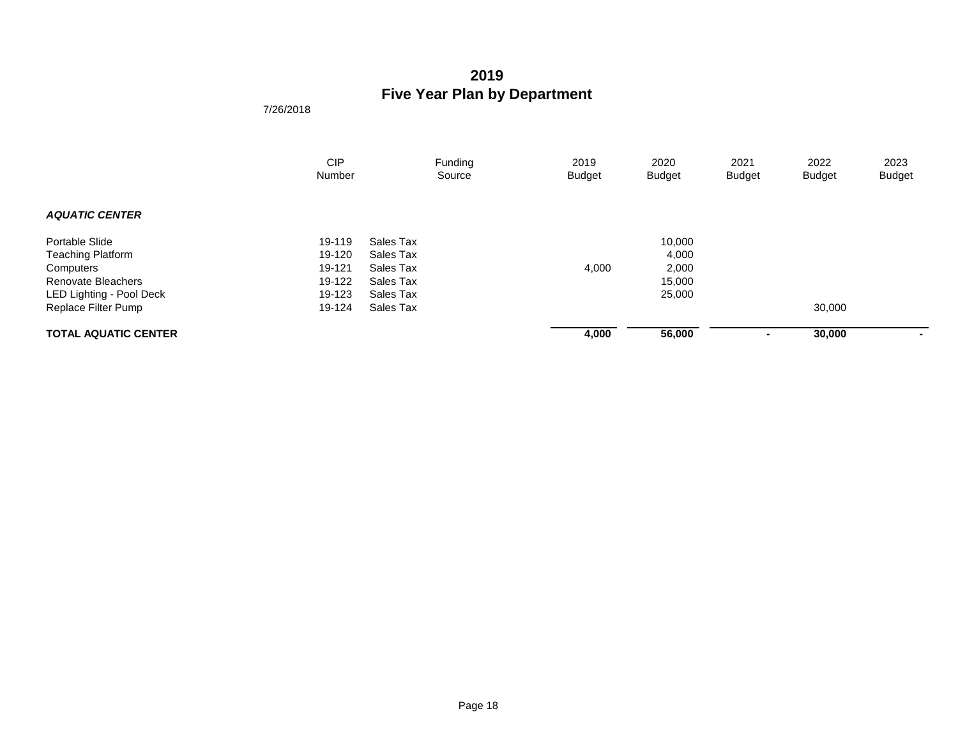|                             | <b>CIP</b><br>Number |           | Funding<br>Source | 2019<br><b>Budget</b> | 2020<br><b>Budget</b> | 2021<br><b>Budget</b> | 2022<br><b>Budget</b> | 2023<br><b>Budget</b> |
|-----------------------------|----------------------|-----------|-------------------|-----------------------|-----------------------|-----------------------|-----------------------|-----------------------|
|                             |                      |           |                   |                       |                       |                       |                       |                       |
| <b>AQUATIC CENTER</b>       |                      |           |                   |                       |                       |                       |                       |                       |
| Portable Slide              | 19-119               | Sales Tax |                   |                       | 10,000                |                       |                       |                       |
| <b>Teaching Platform</b>    | 19-120               | Sales Tax |                   |                       | 4,000                 |                       |                       |                       |
| Computers                   | 19-121               | Sales Tax |                   | 4,000                 | 2,000                 |                       |                       |                       |
| <b>Renovate Bleachers</b>   | 19-122               | Sales Tax |                   |                       | 15,000                |                       |                       |                       |
| LED Lighting - Pool Deck    | 19-123               | Sales Tax |                   |                       | 25,000                |                       |                       |                       |
| Replace Filter Pump         | 19-124               | Sales Tax |                   |                       |                       |                       | 30,000                |                       |
| <b>TOTAL AQUATIC CENTER</b> |                      |           |                   | 4,000                 | 56,000                | $\sim$                | 30,000                | $\sim$                |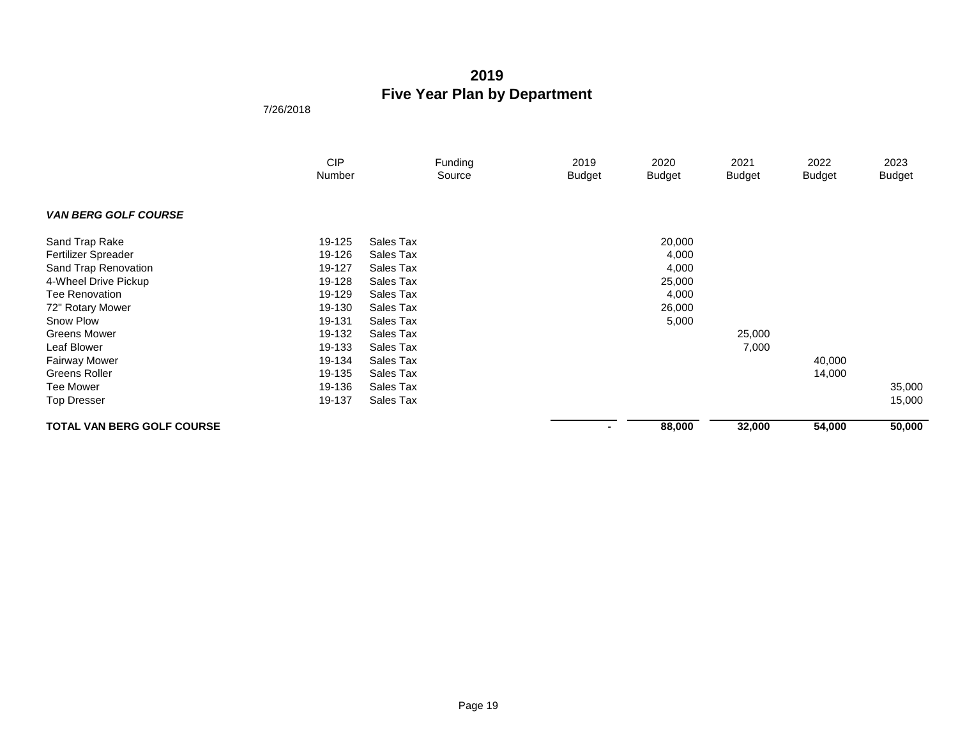|                                   | <b>CIP</b><br>Number |           | Funding<br>Source | 2019<br><b>Budget</b> | 2020<br><b>Budget</b> | 2021<br><b>Budget</b> | 2022<br><b>Budget</b> | 2023<br><b>Budget</b> |
|-----------------------------------|----------------------|-----------|-------------------|-----------------------|-----------------------|-----------------------|-----------------------|-----------------------|
| <b>VAN BERG GOLF COURSE</b>       |                      |           |                   |                       |                       |                       |                       |                       |
| Sand Trap Rake                    | 19-125               | Sales Tax |                   |                       | 20,000                |                       |                       |                       |
| Fertilizer Spreader               | 19-126               | Sales Tax |                   |                       | 4,000                 |                       |                       |                       |
| Sand Trap Renovation              | 19-127               | Sales Tax |                   |                       | 4,000                 |                       |                       |                       |
| 4-Wheel Drive Pickup              | 19-128               | Sales Tax |                   |                       | 25,000                |                       |                       |                       |
| <b>Tee Renovation</b>             | 19-129               | Sales Tax |                   |                       | 4,000                 |                       |                       |                       |
| 72" Rotary Mower                  | 19-130               | Sales Tax |                   |                       | 26,000                |                       |                       |                       |
| Snow Plow                         | 19-131               | Sales Tax |                   |                       | 5,000                 |                       |                       |                       |
| <b>Greens Mower</b>               | 19-132               | Sales Tax |                   |                       |                       | 25,000                |                       |                       |
| Leaf Blower                       | 19-133               | Sales Tax |                   |                       |                       | 7,000                 |                       |                       |
| <b>Fairway Mower</b>              | 19-134               | Sales Tax |                   |                       |                       |                       | 40,000                |                       |
| Greens Roller                     | 19-135               | Sales Tax |                   |                       |                       |                       | 14,000                |                       |
| <b>Tee Mower</b>                  | 19-136               | Sales Tax |                   |                       |                       |                       |                       | 35,000                |
| <b>Top Dresser</b>                | 19-137               | Sales Tax |                   |                       |                       |                       |                       | 15,000                |
| <b>TOTAL VAN BERG GOLF COURSE</b> |                      |           |                   | $\sim$                | 88,000                | 32,000                | 54,000                | 50,000                |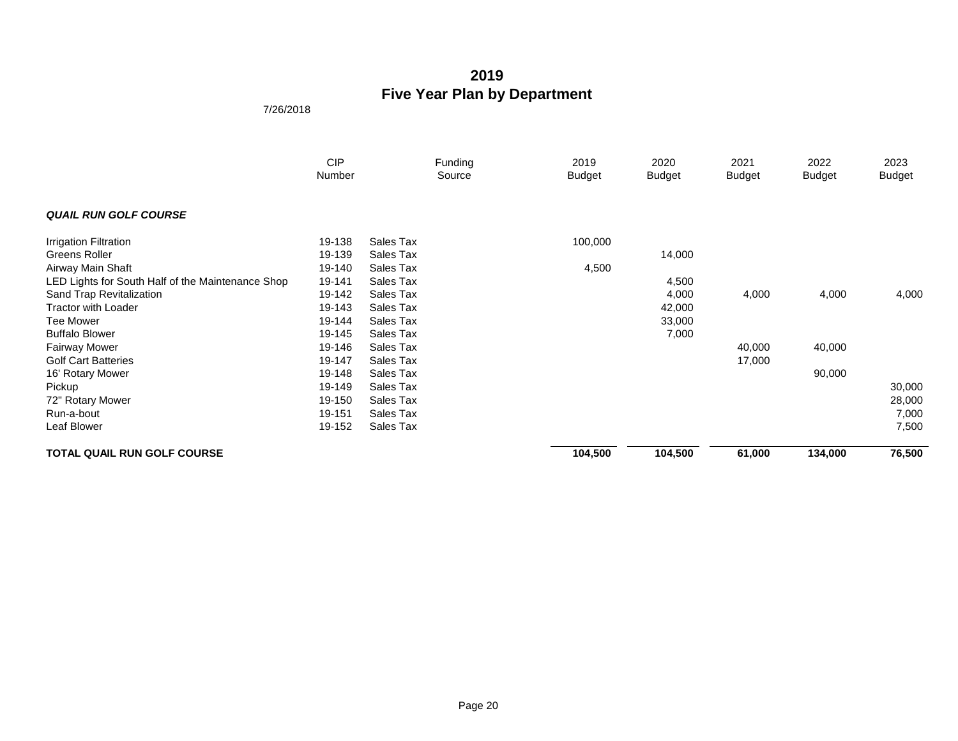|                                                   | <b>CIP</b><br>Number |           | Funding<br>Source | 2019<br><b>Budget</b> | 2020<br><b>Budget</b> | 2021<br><b>Budget</b> | 2022<br><b>Budget</b> | 2023<br><b>Budget</b> |
|---------------------------------------------------|----------------------|-----------|-------------------|-----------------------|-----------------------|-----------------------|-----------------------|-----------------------|
| <b>QUAIL RUN GOLF COURSE</b>                      |                      |           |                   |                       |                       |                       |                       |                       |
| Irrigation Filtration                             | 19-138               | Sales Tax |                   | 100,000               |                       |                       |                       |                       |
| Greens Roller                                     | 19-139               | Sales Tax |                   |                       | 14,000                |                       |                       |                       |
| Airway Main Shaft                                 | 19-140               | Sales Tax |                   | 4,500                 |                       |                       |                       |                       |
| LED Lights for South Half of the Maintenance Shop | 19-141               | Sales Tax |                   |                       | 4,500                 |                       |                       |                       |
| Sand Trap Revitalization                          | 19-142               | Sales Tax |                   |                       | 4,000                 | 4,000                 | 4,000                 | 4,000                 |
| <b>Tractor with Loader</b>                        | 19-143               | Sales Tax |                   |                       | 42,000                |                       |                       |                       |
| <b>Tee Mower</b>                                  | 19-144               | Sales Tax |                   |                       | 33,000                |                       |                       |                       |
| <b>Buffalo Blower</b>                             | 19-145               | Sales Tax |                   |                       | 7,000                 |                       |                       |                       |
| <b>Fairway Mower</b>                              | 19-146               | Sales Tax |                   |                       |                       | 40,000                | 40,000                |                       |
| <b>Golf Cart Batteries</b>                        | 19-147               | Sales Tax |                   |                       |                       | 17,000                |                       |                       |
| 16' Rotary Mower                                  | 19-148               | Sales Tax |                   |                       |                       |                       | 90,000                |                       |
| Pickup                                            | 19-149               | Sales Tax |                   |                       |                       |                       |                       | 30,000                |
| 72" Rotary Mower                                  | 19-150               | Sales Tax |                   |                       |                       |                       |                       | 28,000                |
| Run-a-bout                                        | 19-151               | Sales Tax |                   |                       |                       |                       |                       | 7,000                 |
| Leaf Blower                                       | 19-152               | Sales Tax |                   |                       |                       |                       |                       | 7,500                 |
| <b>TOTAL QUAIL RUN GOLF COURSE</b>                |                      |           |                   | 104,500               | 104,500               | 61,000                | 134,000               | 76,500                |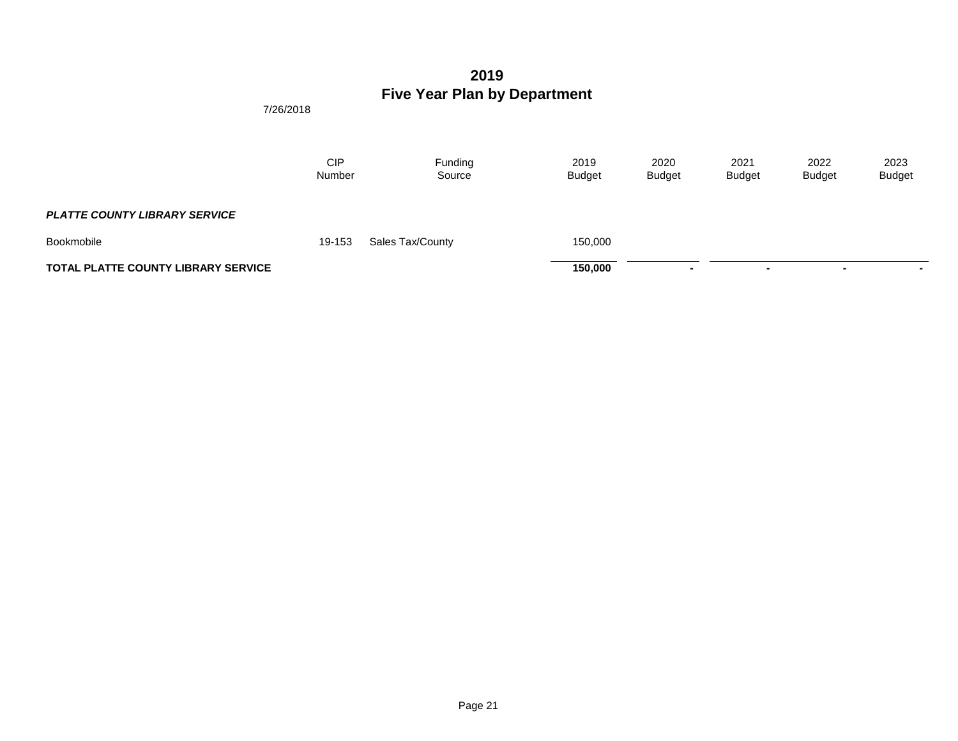|                                            | 7/26/2018            |                   |                       |                       |                       |                       |                       |
|--------------------------------------------|----------------------|-------------------|-----------------------|-----------------------|-----------------------|-----------------------|-----------------------|
|                                            | <b>CIP</b><br>Number | Funding<br>Source | 2019<br><b>Budget</b> | 2020<br><b>Budget</b> | 2021<br><b>Budget</b> | 2022<br><b>Budget</b> | 2023<br><b>Budget</b> |
| <b>PLATTE COUNTY LIBRARY SERVICE</b>       |                      |                   |                       |                       |                       |                       |                       |
| Bookmobile                                 | 19-153               | Sales Tax/County  | 150,000               |                       |                       |                       |                       |
| <b>TOTAL PLATTE COUNTY LIBRARY SERVICE</b> |                      |                   | 150,000               | $\blacksquare$        | $\blacksquare$        | ۰                     | $\blacksquare$        |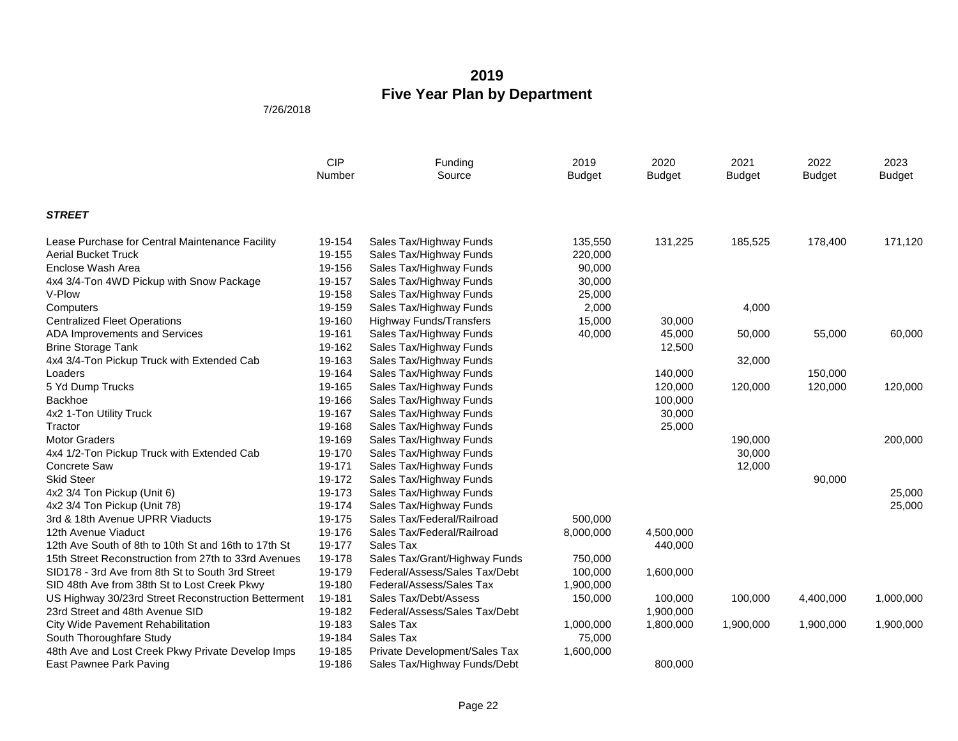|                                                      | <b>CIP</b><br>Number | Funding<br>Source              | 2019<br><b>Budget</b> | 2020<br><b>Budget</b> | 2021<br><b>Budget</b> | 2022<br><b>Budget</b> | 2023<br><b>Budget</b> |
|------------------------------------------------------|----------------------|--------------------------------|-----------------------|-----------------------|-----------------------|-----------------------|-----------------------|
| <b>STREET</b>                                        |                      |                                |                       |                       |                       |                       |                       |
| Lease Purchase for Central Maintenance Facility      | 19-154               | Sales Tax/Highway Funds        | 135,550               | 131,225               | 185,525               | 178,400               | 171,120               |
| <b>Aerial Bucket Truck</b>                           | 19-155               | Sales Tax/Highway Funds        | 220,000               |                       |                       |                       |                       |
| Enclose Wash Area                                    | 19-156               | Sales Tax/Highway Funds        | 90,000                |                       |                       |                       |                       |
| 4x4 3/4-Ton 4WD Pickup with Snow Package             | 19-157               | Sales Tax/Highway Funds        | 30,000                |                       |                       |                       |                       |
| V-Plow                                               | 19-158               | Sales Tax/Highway Funds        | 25,000                |                       |                       |                       |                       |
| Computers                                            | 19-159               | Sales Tax/Highway Funds        | 2,000                 |                       | 4,000                 |                       |                       |
| <b>Centralized Fleet Operations</b>                  | 19-160               | <b>Highway Funds/Transfers</b> | 15,000                | 30,000                |                       |                       |                       |
| ADA Improvements and Services                        | 19-161               | Sales Tax/Highway Funds        | 40,000                | 45,000                | 50,000                | 55,000                | 60,000                |
| <b>Brine Storage Tank</b>                            | 19-162               | Sales Tax/Highway Funds        |                       | 12,500                |                       |                       |                       |
| 4x4 3/4-Ton Pickup Truck with Extended Cab           | 19-163               | Sales Tax/Highway Funds        |                       |                       | 32,000                |                       |                       |
| Loaders                                              | 19-164               | Sales Tax/Highway Funds        |                       | 140,000               |                       | 150,000               |                       |
| 5 Yd Dump Trucks                                     | 19-165               | Sales Tax/Highway Funds        |                       | 120,000               | 120,000               | 120,000               | 120,000               |
| Backhoe                                              | 19-166               | Sales Tax/Highway Funds        |                       | 100,000               |                       |                       |                       |
| 4x2 1-Ton Utility Truck                              | 19-167               | Sales Tax/Highway Funds        |                       | 30,000                |                       |                       |                       |
| Tractor                                              | 19-168               | Sales Tax/Highway Funds        |                       | 25,000                |                       |                       |                       |
| <b>Motor Graders</b>                                 | 19-169               | Sales Tax/Highway Funds        |                       |                       | 190,000               |                       | 200,000               |
| 4x4 1/2-Ton Pickup Truck with Extended Cab           | 19-170               | Sales Tax/Highway Funds        |                       |                       | 30,000                |                       |                       |
| <b>Concrete Saw</b>                                  | 19-171               | Sales Tax/Highway Funds        |                       |                       | 12,000                |                       |                       |
| <b>Skid Steer</b>                                    | 19-172               | Sales Tax/Highway Funds        |                       |                       |                       | 90,000                |                       |
| 4x2 3/4 Ton Pickup (Unit 6)                          | 19-173               | Sales Tax/Highway Funds        |                       |                       |                       |                       | 25,000                |
| 4x2 3/4 Ton Pickup (Unit 78)                         | 19-174               | Sales Tax/Highway Funds        |                       |                       |                       |                       | 25,000                |
| 3rd & 18th Avenue UPRR Viaducts                      | 19-175               | Sales Tax/Federal/Railroad     | 500.000               |                       |                       |                       |                       |
| 12th Avenue Viaduct                                  | 19-176               | Sales Tax/Federal/Railroad     | 8,000,000             | 4,500,000             |                       |                       |                       |
| 12th Ave South of 8th to 10th St and 16th to 17th St | 19-177               | Sales Tax                      |                       | 440,000               |                       |                       |                       |
| 15th Street Reconstruction from 27th to 33rd Avenues | 19-178               | Sales Tax/Grant/Highway Funds  | 750,000               |                       |                       |                       |                       |
| SID178 - 3rd Ave from 8th St to South 3rd Street     | 19-179               | Federal/Assess/Sales Tax/Debt  | 100,000               | 1,600,000             |                       |                       |                       |
| SID 48th Ave from 38th St to Lost Creek Pkwy         | 19-180               | Federal/Assess/Sales Tax       | 1,900,000             |                       |                       |                       |                       |
| US Highway 30/23rd Street Reconstruction Betterment  | 19-181               | Sales Tax/Debt/Assess          | 150,000               | 100,000               | 100,000               | 4,400,000             | 1,000,000             |
| 23rd Street and 48th Avenue SID                      | 19-182               | Federal/Assess/Sales Tax/Debt  |                       | 1,900,000             |                       |                       |                       |
| City Wide Pavement Rehabilitation                    | 19-183               | Sales Tax                      | 1,000,000             | 1,800,000             | 1,900,000             | 1,900,000             | 1,900,000             |
| South Thoroughfare Study                             | 19-184               | Sales Tax                      | 75,000                |                       |                       |                       |                       |
| 48th Ave and Lost Creek Pkwy Private Develop Imps    | 19-185               | Private Development/Sales Tax  | 1,600,000             |                       |                       |                       |                       |
| East Pawnee Park Paving                              | 19-186               | Sales Tax/Highway Funds/Debt   |                       | 800,000               |                       |                       |                       |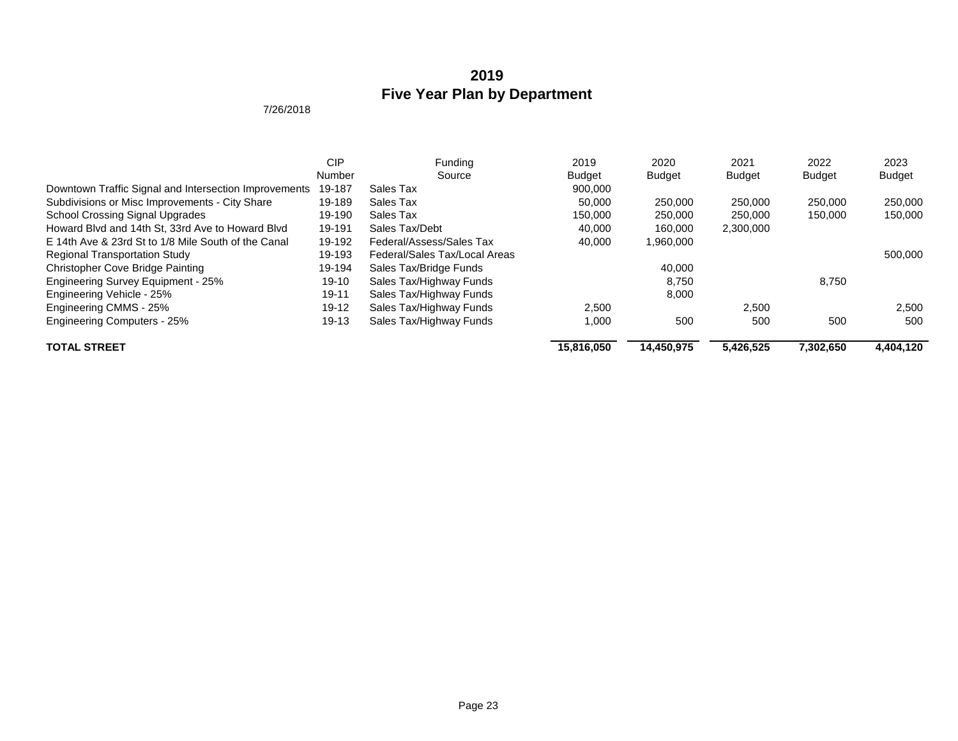|                                                       | <b>CIP</b> | Funding                       | 2019          | 2020          | 2021          | 2022          | 2023          |
|-------------------------------------------------------|------------|-------------------------------|---------------|---------------|---------------|---------------|---------------|
|                                                       | Number     | Source                        | <b>Budget</b> | <b>Budget</b> | <b>Budget</b> | <b>Budget</b> | <b>Budget</b> |
| Downtown Traffic Signal and Intersection Improvements | 19-187     | Sales Tax                     | 900,000       |               |               |               |               |
| Subdivisions or Misc Improvements - City Share        | 19-189     | Sales Tax                     | 50,000        | 250,000       | 250,000       | 250,000       | 250,000       |
| <b>School Crossing Signal Upgrades</b>                | 19-190     | Sales Tax                     | 150,000       | 250,000       | 250,000       | 150,000       | 150,000       |
| Howard Blyd and 14th St, 33rd Ave to Howard Blyd      | 19-191     | Sales Tax/Debt                | 40.000        | 160,000       | 2,300,000     |               |               |
| E 14th Ave & 23rd St to 1/8 Mile South of the Canal   | 19-192     | Federal/Assess/Sales Tax      | 40.000        | 1,960,000     |               |               |               |
| <b>Regional Transportation Study</b>                  | 19-193     | Federal/Sales Tax/Local Areas |               |               |               |               | 500,000       |
| <b>Christopher Cove Bridge Painting</b>               | 19-194     | Sales Tax/Bridge Funds        |               | 40.000        |               |               |               |
| Engineering Survey Equipment - 25%                    | 19-10      | Sales Tax/Highway Funds       |               | 8,750         |               | 8,750         |               |
| Engineering Vehicle - 25%                             | $19 - 11$  | Sales Tax/Highway Funds       |               | 8,000         |               |               |               |
| Engineering CMMS - 25%                                | $19-12$    | Sales Tax/Highway Funds       | 2.500         |               | 2,500         |               | 2,500         |
| <b>Engineering Computers - 25%</b>                    | 19-13      | Sales Tax/Highway Funds       | 1.000         | 500           | 500           | 500           | 500           |
| <b>TOTAL STREET</b>                                   |            |                               | 15.816.050    | 14.450.975    | 5.426.525     | 7.302.650     | 4,404,120     |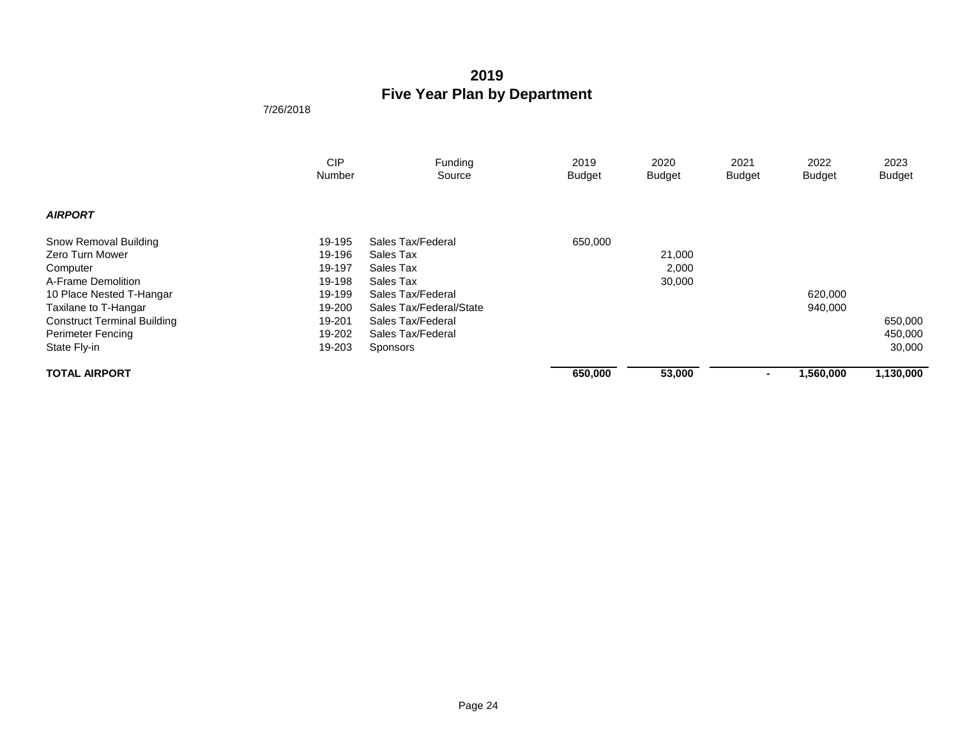|                                    | <b>CIP</b> | Funding                 | 2019          | 2020          | 2021           | 2022          | 2023          |
|------------------------------------|------------|-------------------------|---------------|---------------|----------------|---------------|---------------|
|                                    | Number     | Source                  | <b>Budget</b> | <b>Budget</b> | Budget         | <b>Budget</b> | <b>Budget</b> |
|                                    |            |                         |               |               |                |               |               |
| <b>AIRPORT</b>                     |            |                         |               |               |                |               |               |
| Snow Removal Building              | 19-195     | Sales Tax/Federal       | 650,000       |               |                |               |               |
| Zero Turn Mower                    | 19-196     | Sales Tax               |               | 21,000        |                |               |               |
| Computer                           | 19-197     | Sales Tax               |               | 2,000         |                |               |               |
| A-Frame Demolition                 | 19-198     | Sales Tax               |               | 30,000        |                |               |               |
| 10 Place Nested T-Hangar           | 19-199     | Sales Tax/Federal       |               |               |                | 620,000       |               |
| Taxilane to T-Hangar               | 19-200     | Sales Tax/Federal/State |               |               |                | 940,000       |               |
| <b>Construct Terminal Building</b> | 19-201     | Sales Tax/Federal       |               |               |                |               | 650,000       |
| <b>Perimeter Fencing</b>           | 19-202     | Sales Tax/Federal       |               |               |                |               | 450,000       |
| State Fly-in                       | 19-203     | Sponsors                |               |               |                |               | 30,000        |
| <b>TOTAL AIRPORT</b>               |            |                         | 650,000       | 53,000        | $\blacksquare$ | 1,560,000     | 1,130,000     |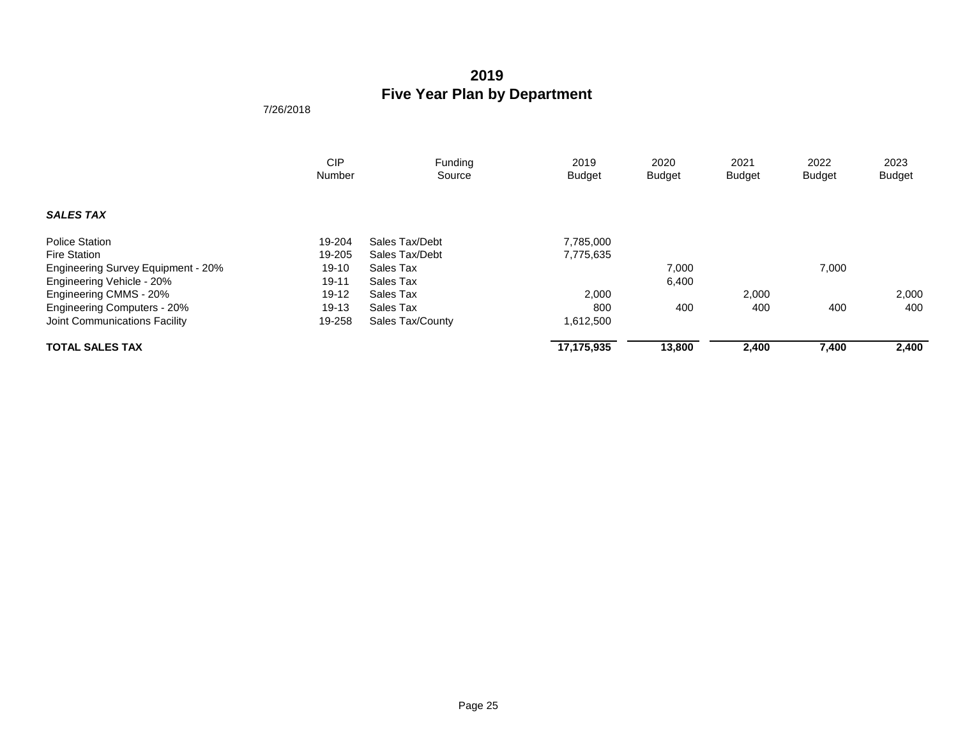|                                           | <b>CIP</b><br>Number | Funding<br>Source | 2019<br><b>Budget</b> | 2020<br><b>Budget</b> | 2021<br><b>Budget</b> | 2022<br><b>Budget</b> | 2023<br><b>Budget</b> |
|-------------------------------------------|----------------------|-------------------|-----------------------|-----------------------|-----------------------|-----------------------|-----------------------|
|                                           |                      |                   |                       |                       |                       |                       |                       |
| <b>SALES TAX</b>                          |                      |                   |                       |                       |                       |                       |                       |
| <b>Police Station</b>                     | 19-204               | Sales Tax/Debt    | 7,785,000             |                       |                       |                       |                       |
| <b>Fire Station</b>                       | 19-205               | Sales Tax/Debt    | 7,775,635             |                       |                       |                       |                       |
| <b>Engineering Survey Equipment - 20%</b> | $19-10$              | Sales Tax         |                       | 7,000                 |                       | 7,000                 |                       |
| Engineering Vehicle - 20%                 | $19 - 11$            | Sales Tax         |                       | 6,400                 |                       |                       |                       |
| Engineering CMMS - 20%                    | $19-12$              | Sales Tax         | 2,000                 |                       | 2,000                 |                       | 2,000                 |
| <b>Engineering Computers - 20%</b>        | $19-13$              | Sales Tax         | 800                   | 400                   | 400                   | 400                   | 400                   |
| Joint Communications Facility             | 19-258               | Sales Tax/County  | 1,612,500             |                       |                       |                       |                       |
| <b>TOTAL SALES TAX</b>                    |                      |                   | 17,175,935            | 13,800                | 2,400                 | 7,400                 | 2,400                 |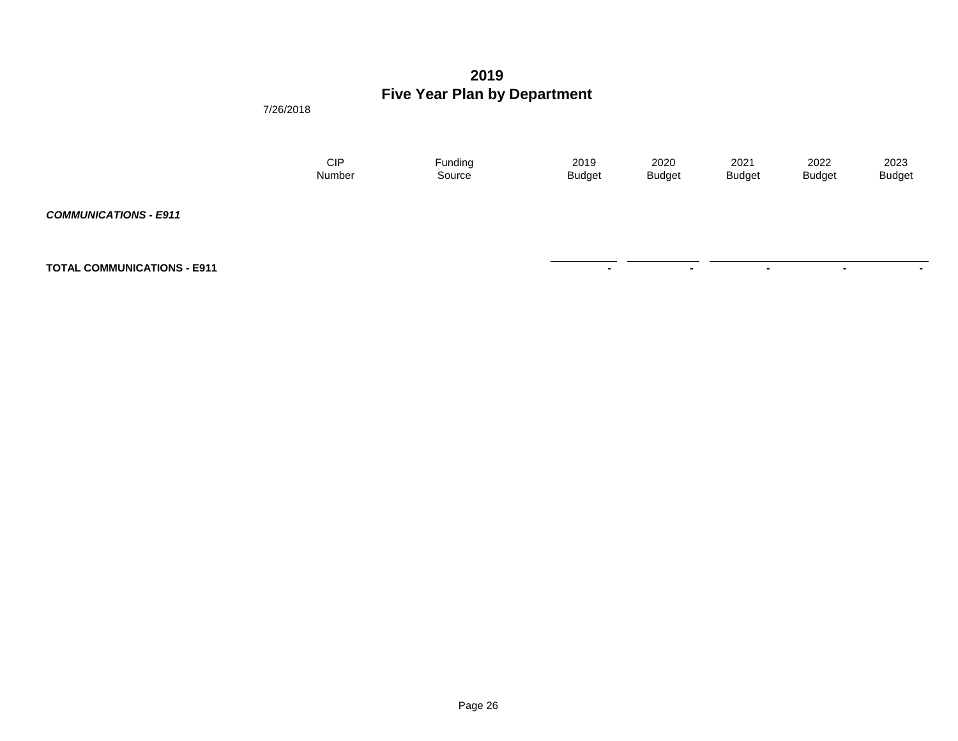7/26/2018

| CIP    | Funding | 2019          | 2020          | 2021          | 2022          | 2023          |
|--------|---------|---------------|---------------|---------------|---------------|---------------|
| Number | Source  | <b>Budget</b> | <b>Budget</b> | <b>Budget</b> | <b>Budget</b> | <b>Budget</b> |
|        |         |               |               |               |               |               |

**TOTAL COMMUNICATIONS - E911** 

*COMMUNICATIONS - E911*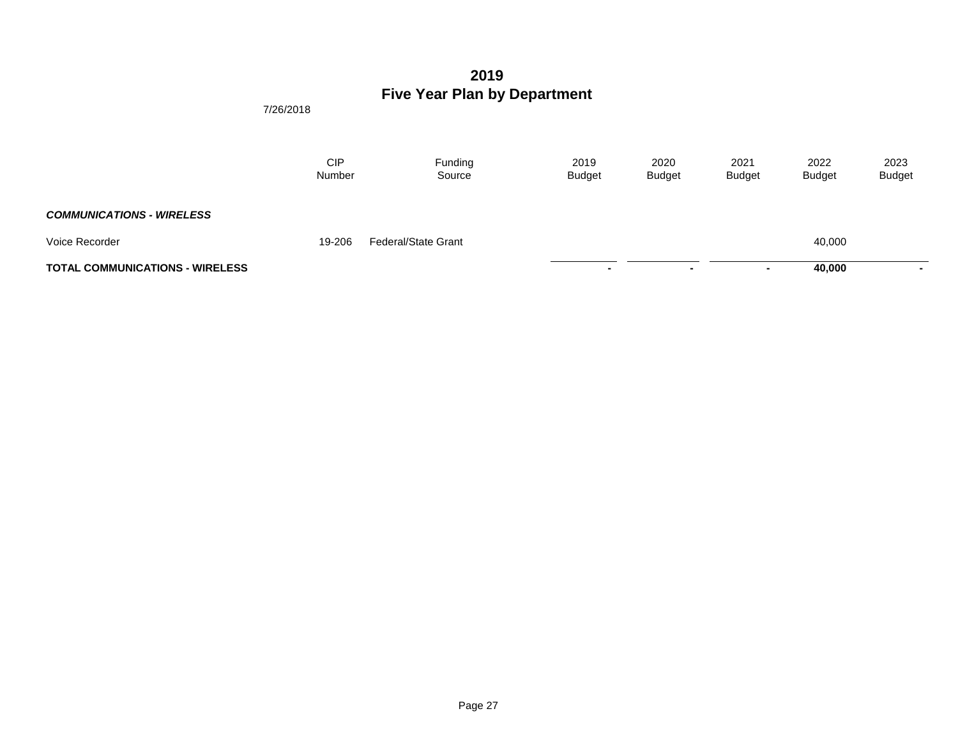|                                        | <b>CIP</b><br>Number | Funding<br>Source          | 2019<br><b>Budget</b> | 2020<br><b>Budget</b> | 2021<br><b>Budget</b> | 2022<br><b>Budget</b> | 2023<br><b>Budget</b> |
|----------------------------------------|----------------------|----------------------------|-----------------------|-----------------------|-----------------------|-----------------------|-----------------------|
| <b>COMMUNICATIONS - WIRELESS</b>       |                      |                            |                       |                       |                       |                       |                       |
| Voice Recorder                         | 19-206               | <b>Federal/State Grant</b> |                       |                       |                       | 40,000                |                       |
| <b>TOTAL COMMUNICATIONS - WIRELESS</b> |                      |                            | $\blacksquare$        |                       | $\sim$                | 40,000                | $\blacksquare$        |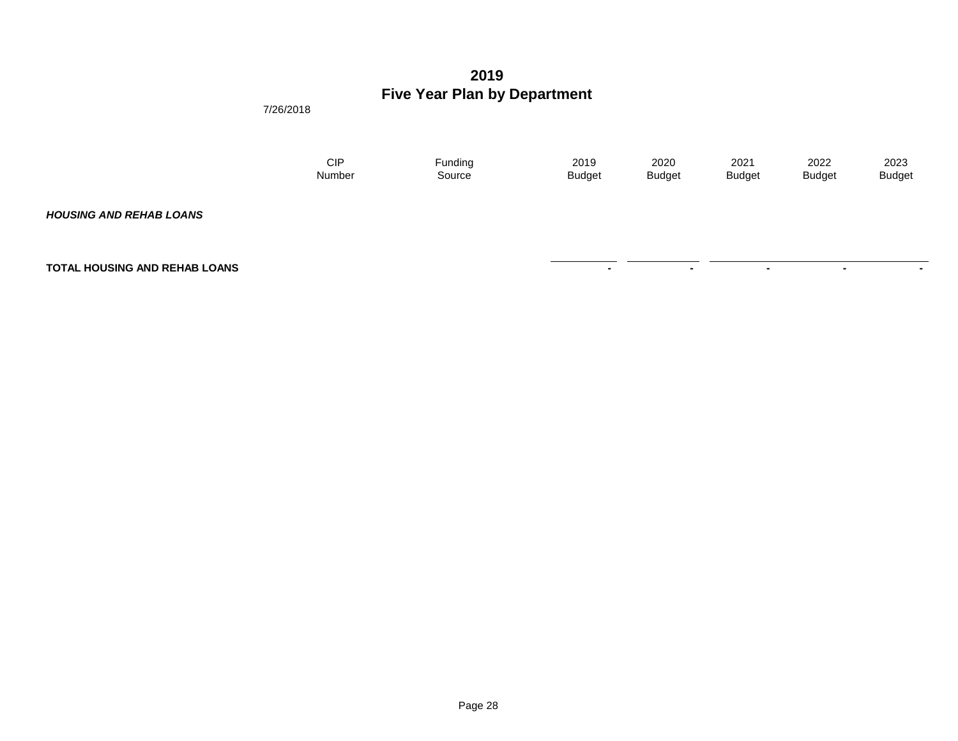7/26/2018

| CIP    | Funding | 2019          | 2020          | 2021          | 2022          | 2023          |
|--------|---------|---------------|---------------|---------------|---------------|---------------|
| Number | Source  | <b>Budget</b> | <b>Budget</b> | <b>Budget</b> | <b>Budget</b> | <b>Budget</b> |
|        |         |               |               |               |               |               |

**TOTAL HOUSING AND REHAB LOANS** 

*HOUSING AND REHAB LOANS*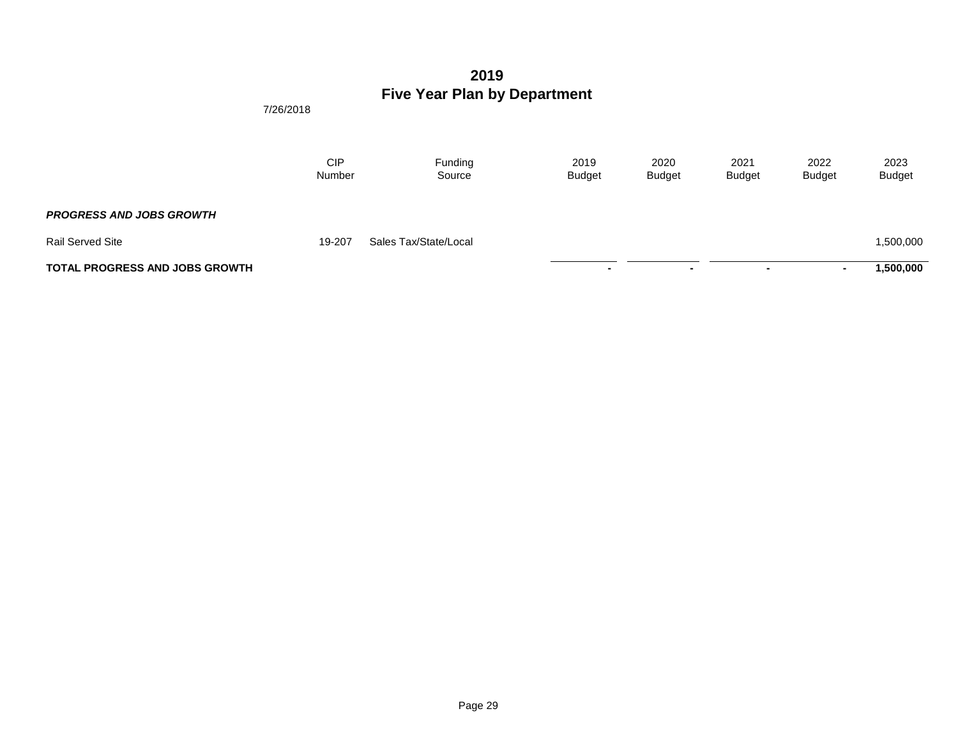|                                       | <b>CIP</b><br>Number | Funding<br>Source     | 2019<br><b>Budget</b> | 2020<br><b>Budget</b> | 2021<br><b>Budget</b>    | 2022<br><b>Budget</b> | 2023<br><b>Budget</b> |
|---------------------------------------|----------------------|-----------------------|-----------------------|-----------------------|--------------------------|-----------------------|-----------------------|
| <b>PROGRESS AND JOBS GROWTH</b>       |                      |                       |                       |                       |                          |                       |                       |
| <b>Rail Served Site</b>               | 19-207               | Sales Tax/State/Local |                       |                       |                          |                       | 1,500,000             |
| <b>TOTAL PROGRESS AND JOBS GROWTH</b> |                      |                       |                       | $\blacksquare$        | $\overline{\phantom{0}}$ |                       | ,500,000              |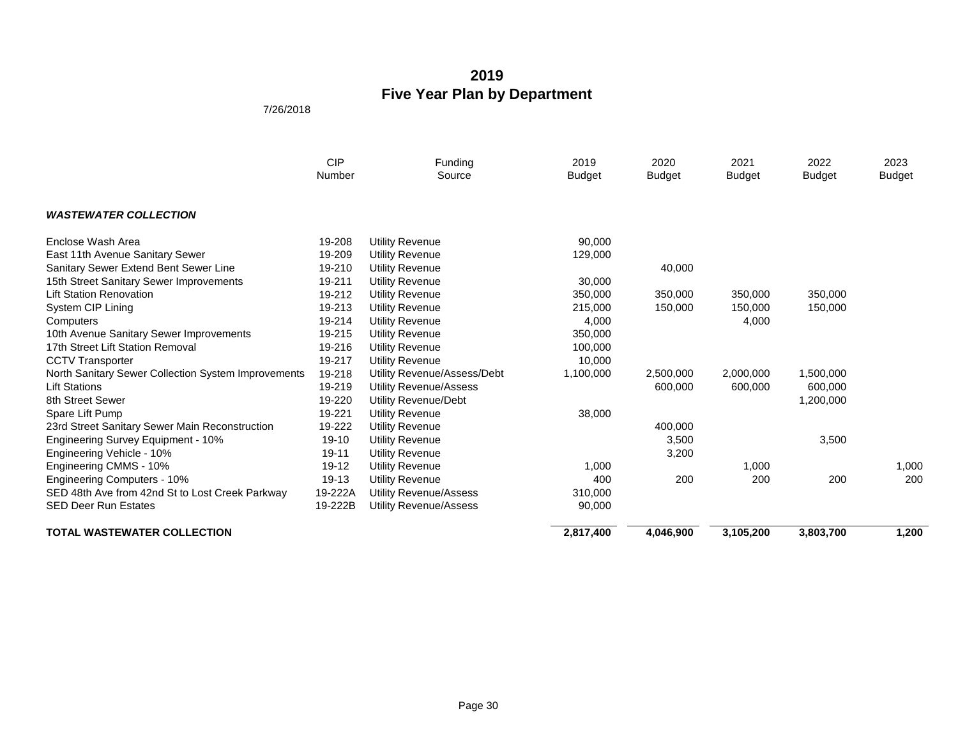|                                                     | <b>CIP</b><br>Number | Funding<br>Source             | 2019<br><b>Budget</b> | 2020<br><b>Budget</b> | 2021<br><b>Budget</b> | 2022<br><b>Budget</b> | 2023<br><b>Budget</b> |
|-----------------------------------------------------|----------------------|-------------------------------|-----------------------|-----------------------|-----------------------|-----------------------|-----------------------|
| <b>WASTEWATER COLLECTION</b>                        |                      |                               |                       |                       |                       |                       |                       |
| Enclose Wash Area                                   | 19-208               | <b>Utility Revenue</b>        | 90,000                |                       |                       |                       |                       |
| East 11th Avenue Sanitary Sewer                     | 19-209               | Utility Revenue               | 129,000               |                       |                       |                       |                       |
| Sanitary Sewer Extend Bent Sewer Line               | 19-210               | <b>Utility Revenue</b>        |                       | 40,000                |                       |                       |                       |
| 15th Street Sanitary Sewer Improvements             | 19-211               | <b>Utility Revenue</b>        | 30,000                |                       |                       |                       |                       |
| <b>Lift Station Renovation</b>                      | 19-212               | <b>Utility Revenue</b>        | 350,000               | 350,000               | 350,000               | 350,000               |                       |
| System CIP Lining                                   | 19-213               | <b>Utility Revenue</b>        | 215,000               | 150,000               | 150,000               | 150,000               |                       |
| Computers                                           | 19-214               | <b>Utility Revenue</b>        | 4,000                 |                       | 4,000                 |                       |                       |
| 10th Avenue Sanitary Sewer Improvements             | 19-215               | <b>Utility Revenue</b>        | 350,000               |                       |                       |                       |                       |
| 17th Street Lift Station Removal                    | 19-216               | <b>Utility Revenue</b>        | 100,000               |                       |                       |                       |                       |
| <b>CCTV Transporter</b>                             | 19-217               | <b>Utility Revenue</b>        | 10,000                |                       |                       |                       |                       |
| North Sanitary Sewer Collection System Improvements | 19-218               | Utility Revenue/Assess/Debt   | 1,100,000             | 2,500,000             | 2,000,000             | 1,500,000             |                       |
| <b>Lift Stations</b>                                | 19-219               | <b>Utility Revenue/Assess</b> |                       | 600,000               | 600,000               | 600,000               |                       |
| 8th Street Sewer                                    | 19-220               | Utility Revenue/Debt          |                       |                       |                       | 1,200,000             |                       |
| Spare Lift Pump                                     | 19-221               | <b>Utility Revenue</b>        | 38,000                |                       |                       |                       |                       |
| 23rd Street Sanitary Sewer Main Reconstruction      | 19-222               | <b>Utility Revenue</b>        |                       | 400,000               |                       |                       |                       |
| Engineering Survey Equipment - 10%                  | $19 - 10$            | <b>Utility Revenue</b>        |                       | 3,500                 |                       | 3,500                 |                       |
| Engineering Vehicle - 10%                           | 19-11                | <b>Utility Revenue</b>        |                       | 3,200                 |                       |                       |                       |
| Engineering CMMS - 10%                              | $19-12$              | <b>Utility Revenue</b>        | 1,000                 |                       | 1,000                 |                       | 1,000                 |
| <b>Engineering Computers - 10%</b>                  | 19-13                | <b>Utility Revenue</b>        | 400                   | 200                   | 200                   | 200                   | 200                   |
| SED 48th Ave from 42nd St to Lost Creek Parkway     | 19-222A              | <b>Utility Revenue/Assess</b> | 310,000               |                       |                       |                       |                       |
| <b>SED Deer Run Estates</b>                         | 19-222B              | <b>Utility Revenue/Assess</b> | 90,000                |                       |                       |                       |                       |
| <b>TOTAL WASTEWATER COLLECTION</b>                  |                      |                               | 2,817,400             | 4,046,900             | 3,105,200             | 3,803,700             | 1,200                 |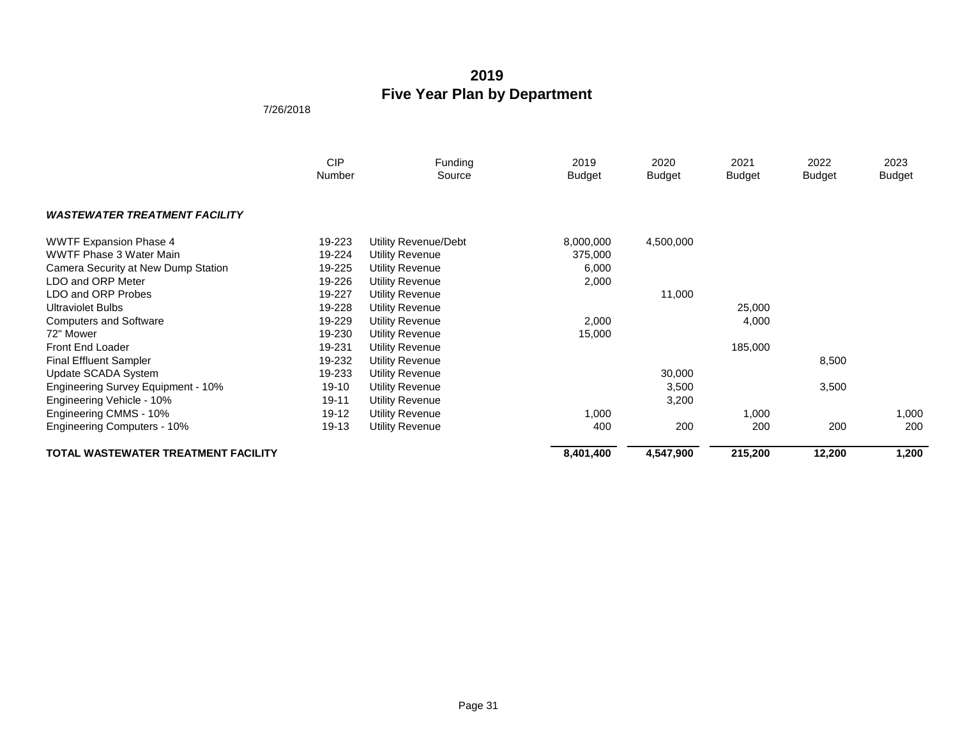|                                            | <b>CIP</b><br>Number | Funding<br>Source      | 2019<br><b>Budget</b> | 2020<br><b>Budget</b> | 2021<br><b>Budget</b> | 2022<br><b>Budget</b> | 2023<br>Budget |
|--------------------------------------------|----------------------|------------------------|-----------------------|-----------------------|-----------------------|-----------------------|----------------|
| <b>WASTEWATER TREATMENT FACILITY</b>       |                      |                        |                       |                       |                       |                       |                |
| <b>WWTF Expansion Phase 4</b>              | 19-223               | Utility Revenue/Debt   | 8,000,000             | 4,500,000             |                       |                       |                |
| WWTF Phase 3 Water Main                    | 19-224               | Utility Revenue        | 375,000               |                       |                       |                       |                |
| Camera Security at New Dump Station        | 19-225               | <b>Utility Revenue</b> | 6,000                 |                       |                       |                       |                |
| LDO and ORP Meter                          | 19-226               | Utility Revenue        | 2,000                 |                       |                       |                       |                |
| LDO and ORP Probes                         | 19-227               | Utility Revenue        |                       | 11,000                |                       |                       |                |
| <b>Ultraviolet Bulbs</b>                   | 19-228               | <b>Utility Revenue</b> |                       |                       | 25,000                |                       |                |
| <b>Computers and Software</b>              | 19-229               | <b>Utility Revenue</b> | 2,000                 |                       | 4,000                 |                       |                |
| 72" Mower                                  | 19-230               | Utility Revenue        | 15,000                |                       |                       |                       |                |
| Front End Loader                           | 19-231               | <b>Utility Revenue</b> |                       |                       | 185,000               |                       |                |
| <b>Final Effluent Sampler</b>              | 19-232               | <b>Utility Revenue</b> |                       |                       |                       | 8,500                 |                |
| Update SCADA System                        | 19-233               | <b>Utility Revenue</b> |                       | 30,000                |                       |                       |                |
| <b>Engineering Survey Equipment - 10%</b>  | 19-10                | <b>Utility Revenue</b> |                       | 3,500                 |                       | 3,500                 |                |
| Engineering Vehicle - 10%                  | 19-11                | <b>Utility Revenue</b> |                       | 3,200                 |                       |                       |                |
| Engineering CMMS - 10%                     | 19-12                | <b>Utility Revenue</b> | 1,000                 |                       | 1,000                 |                       | 1,000          |
| <b>Engineering Computers - 10%</b>         | 19-13                | <b>Utility Revenue</b> | 400                   | 200                   | 200                   | 200                   | 200            |
| <b>TOTAL WASTEWATER TREATMENT FACILITY</b> |                      |                        | 8,401,400             | 4,547,900             | 215,200               | 12,200                | 1,200          |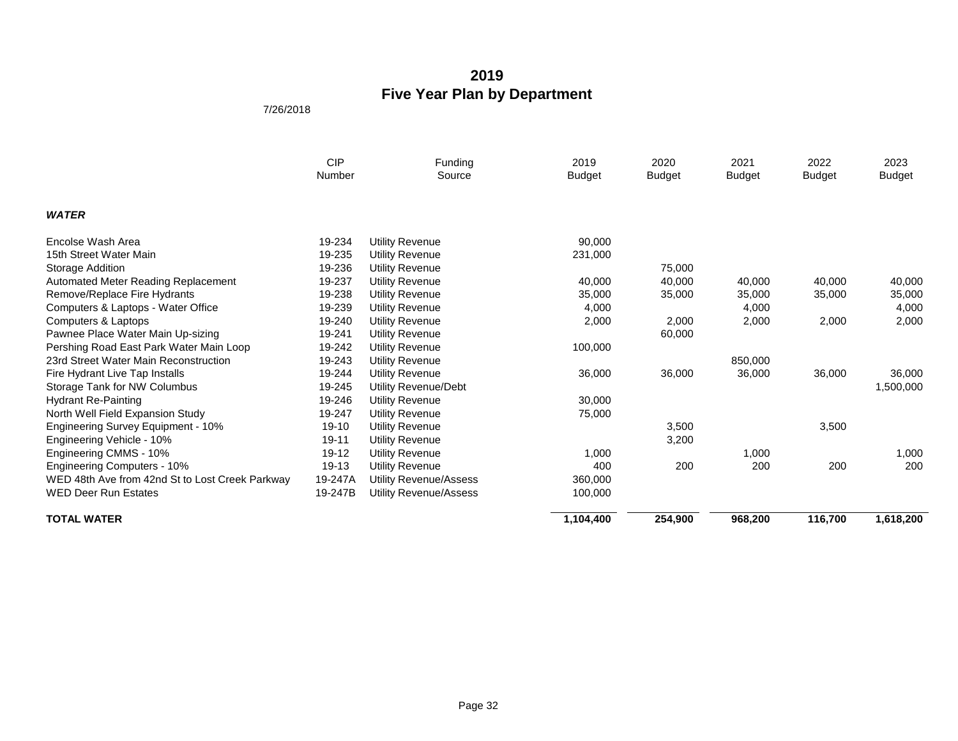|                                                 | <b>CIP</b><br>Number | Funding<br>Source             | 2019<br><b>Budget</b> | 2020<br><b>Budget</b> | 2021<br><b>Budget</b> | 2022<br><b>Budget</b> | 2023<br><b>Budget</b> |
|-------------------------------------------------|----------------------|-------------------------------|-----------------------|-----------------------|-----------------------|-----------------------|-----------------------|
| <b>WATER</b>                                    |                      |                               |                       |                       |                       |                       |                       |
| Encolse Wash Area                               | 19-234               | <b>Utility Revenue</b>        | 90,000                |                       |                       |                       |                       |
| 15th Street Water Main                          | 19-235               | Utility Revenue               | 231,000               |                       |                       |                       |                       |
| Storage Addition                                | 19-236               | <b>Utility Revenue</b>        |                       | 75,000                |                       |                       |                       |
| Automated Meter Reading Replacement             | 19-237               | Utility Revenue               | 40,000                | 40,000                | 40,000                | 40,000                | 40,000                |
| Remove/Replace Fire Hydrants                    | 19-238               | <b>Utility Revenue</b>        | 35,000                | 35,000                | 35,000                | 35,000                | 35,000                |
| Computers & Laptops - Water Office              | 19-239               | <b>Utility Revenue</b>        | 4,000                 |                       | 4,000                 |                       | 4,000                 |
| Computers & Laptops                             | 19-240               | Utility Revenue               | 2,000                 | 2,000                 | 2,000                 | 2,000                 | 2,000                 |
| Pawnee Place Water Main Up-sizing               | 19-241               | Utility Revenue               |                       | 60,000                |                       |                       |                       |
| Pershing Road East Park Water Main Loop         | 19-242               | <b>Utility Revenue</b>        | 100,000               |                       |                       |                       |                       |
| 23rd Street Water Main Reconstruction           | 19-243               | <b>Utility Revenue</b>        |                       |                       | 850,000               |                       |                       |
| Fire Hydrant Live Tap Installs                  | 19-244               | Utility Revenue               | 36,000                | 36,000                | 36,000                | 36,000                | 36,000                |
| Storage Tank for NW Columbus                    | 19-245               | Utility Revenue/Debt          |                       |                       |                       |                       | 1,500,000             |
| <b>Hydrant Re-Painting</b>                      | 19-246               | Utility Revenue               | 30,000                |                       |                       |                       |                       |
| North Well Field Expansion Study                | 19-247               | Utility Revenue               | 75,000                |                       |                       |                       |                       |
| Engineering Survey Equipment - 10%              | $19-10$              | <b>Utility Revenue</b>        |                       | 3,500                 |                       | 3,500                 |                       |
| Engineering Vehicle - 10%                       | 19-11                | <b>Utility Revenue</b>        |                       | 3,200                 |                       |                       |                       |
| Engineering CMMS - 10%                          | 19-12                | <b>Utility Revenue</b>        | 1,000                 |                       | 1,000                 |                       | 1,000                 |
| <b>Engineering Computers - 10%</b>              | 19-13                | Utility Revenue               | 400                   | 200                   | 200                   | 200                   | 200                   |
| WED 48th Ave from 42nd St to Lost Creek Parkway | 19-247A              | Utility Revenue/Assess        | 360,000               |                       |                       |                       |                       |
| <b>WED Deer Run Estates</b>                     | 19-247B              | <b>Utility Revenue/Assess</b> | 100,000               |                       |                       |                       |                       |
| <b>TOTAL WATER</b>                              |                      |                               | 1,104,400             | 254,900               | 968,200               | 116,700               | 1,618,200             |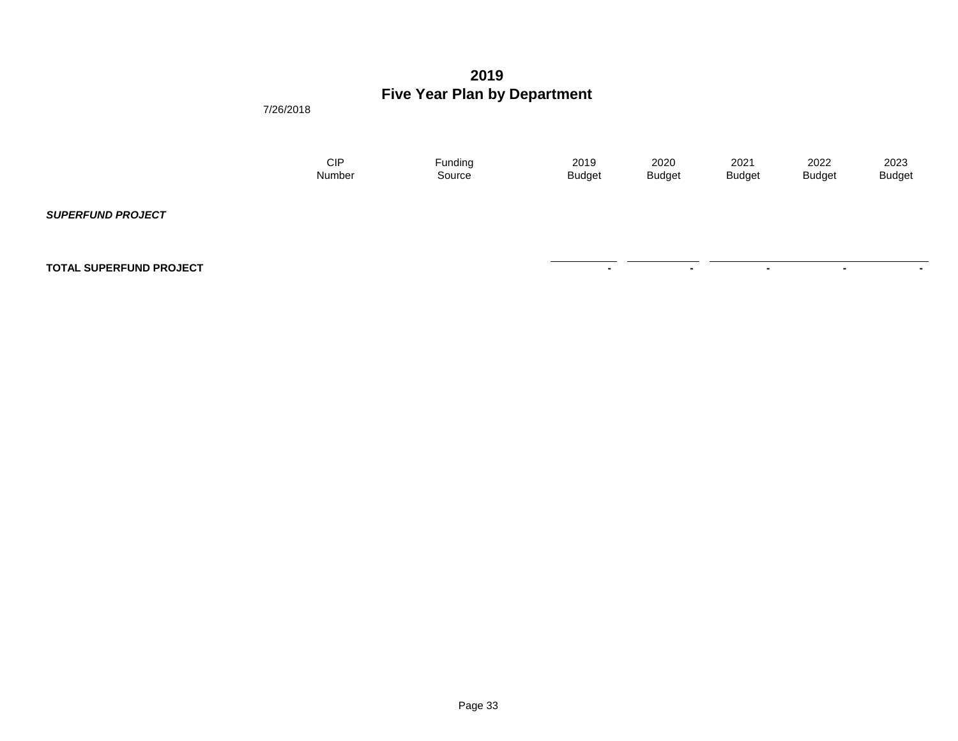7/26/2018

| CIP    | Funding | 2019          | 2020          | 2021          | 2022          | 2023          |
|--------|---------|---------------|---------------|---------------|---------------|---------------|
| Number | Source  | <b>Budget</b> | <b>Budget</b> | <b>Budget</b> | <b>Budget</b> | <b>Budget</b> |
|        |         |               |               |               |               |               |

**TOTAL SUPERFUND PROJECT** 

*SUPERFUND PROJECT*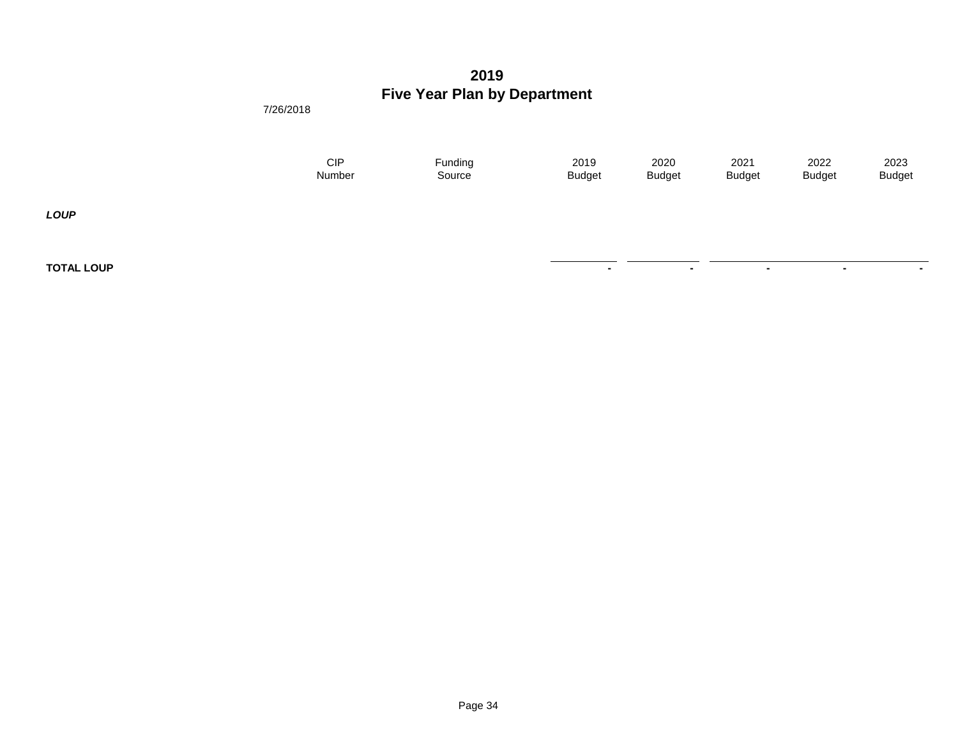**TOTAL LOUP And the set of the set of the set of the set of the set of the set of the set of the set of the set of the set of the set of the set of the set of the set of the set of the set of the set of the set of the set** 

7/26/2018

| CIP    | Funding | 2019          | 2020          | 2021          | 2022          | 2023          |
|--------|---------|---------------|---------------|---------------|---------------|---------------|
| Number | Source  | <b>Budget</b> | <b>Budget</b> | <b>Budget</b> | <b>Budget</b> | <b>Budget</b> |
|        |         |               |               |               |               |               |

*LOUP*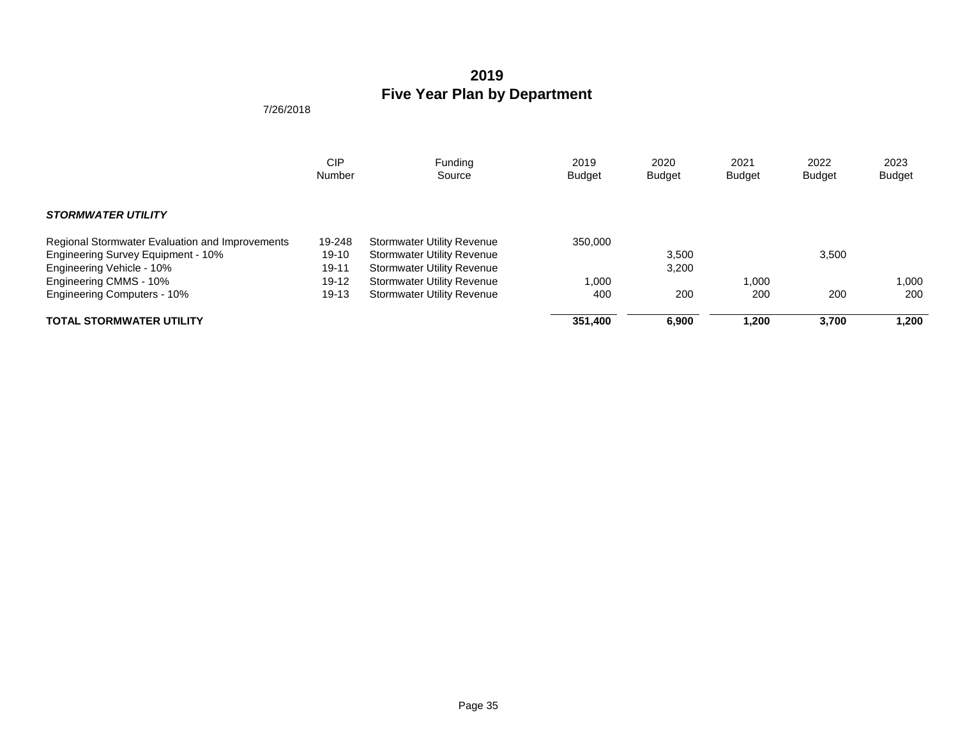|                                                 | <b>CIP</b> | Funding                           | 2019          | 2020          | 2021          | 2022          | 2023          |
|-------------------------------------------------|------------|-----------------------------------|---------------|---------------|---------------|---------------|---------------|
|                                                 | Number     | Source                            | <b>Budget</b> | <b>Budget</b> | <b>Budget</b> | <b>Budget</b> | <b>Budget</b> |
| <b>STORMWATER UTILITY</b>                       |            |                                   |               |               |               |               |               |
| Regional Stormwater Evaluation and Improvements | 19-248     | <b>Stormwater Utility Revenue</b> | 350,000       |               |               |               |               |
| Engineering Survey Equipment - 10%              | $19-10$    | <b>Stormwater Utility Revenue</b> |               | 3,500         |               | 3,500         |               |
| Engineering Vehicle - 10%                       | 19-11      | <b>Stormwater Utility Revenue</b> |               | 3,200         |               |               |               |
| Engineering CMMS - 10%                          | $19-12$    | <b>Stormwater Utility Revenue</b> | 1,000         |               | 1.000         |               | 1.000         |
| <b>Engineering Computers - 10%</b>              | $19 - 13$  | <b>Stormwater Utility Revenue</b> | 400           | 200           | 200           | 200           | 200           |
| <b>TOTAL STORMWATER UTILITY</b>                 |            |                                   | 351.400       | 6.900         | 1.200         | 3.700         | 1.200         |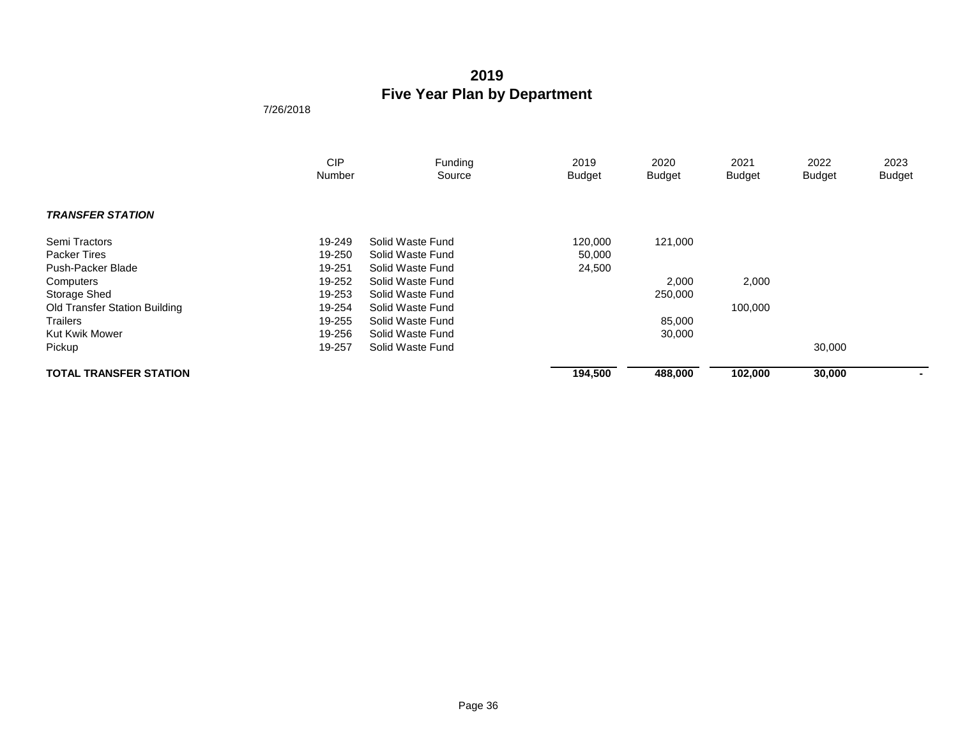|                                      | <b>CIP</b><br><b>Number</b> | Funding<br>Source | 2019<br><b>Budget</b> | 2020<br><b>Budget</b> | 2021<br><b>Budget</b> | 2022<br><b>Budget</b> | 2023<br><b>Budget</b> |
|--------------------------------------|-----------------------------|-------------------|-----------------------|-----------------------|-----------------------|-----------------------|-----------------------|
|                                      |                             |                   |                       |                       |                       |                       |                       |
| <b>TRANSFER STATION</b>              |                             |                   |                       |                       |                       |                       |                       |
| Semi Tractors                        | 19-249                      | Solid Waste Fund  | 120,000               | 121,000               |                       |                       |                       |
| <b>Packer Tires</b>                  | 19-250                      | Solid Waste Fund  | 50,000                |                       |                       |                       |                       |
| Push-Packer Blade                    | 19-251                      | Solid Waste Fund  | 24,500                |                       |                       |                       |                       |
| Computers                            | 19-252                      | Solid Waste Fund  |                       | 2,000                 | 2,000                 |                       |                       |
| Storage Shed                         | 19-253                      | Solid Waste Fund  |                       | 250,000               |                       |                       |                       |
| <b>Old Transfer Station Building</b> | 19-254                      | Solid Waste Fund  |                       |                       | 100,000               |                       |                       |
| <b>Trailers</b>                      | 19-255                      | Solid Waste Fund  |                       | 85,000                |                       |                       |                       |
| <b>Kut Kwik Mower</b>                | 19-256                      | Solid Waste Fund  |                       | 30,000                |                       |                       |                       |
| Pickup                               | 19-257                      | Solid Waste Fund  |                       |                       |                       | 30,000                |                       |
| <b>TOTAL TRANSFER STATION</b>        |                             |                   | 194,500               | 488,000               | 102,000               | 30,000                |                       |